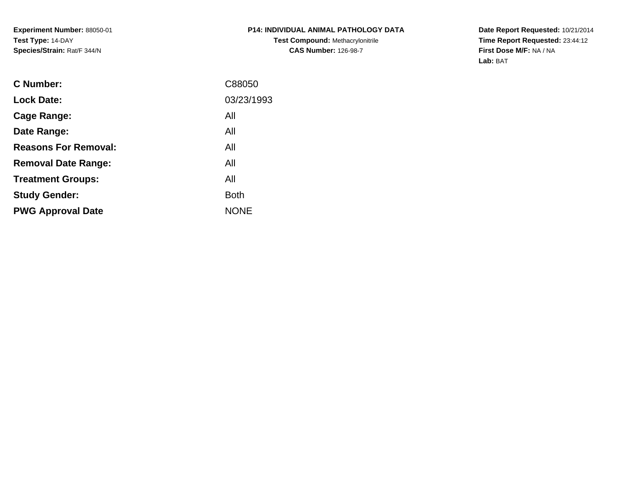**Experiment Number:** 88050-01**Test Type:** 14-DAY**Species/Strain:** Rat/F 344/N

**Date Report Requested:** 10/21/2014 **Time Report Requested:** 23:44:12**First Dose M/F:** NA / NA**Lab:** BAT

| C Number:                   | C88050      |
|-----------------------------|-------------|
| <b>Lock Date:</b>           | 03/23/1993  |
| Cage Range:                 | All         |
| Date Range:                 | All         |
| <b>Reasons For Removal:</b> | All         |
| <b>Removal Date Range:</b>  | All         |
| <b>Treatment Groups:</b>    | All         |
| <b>Study Gender:</b>        | <b>Both</b> |
| <b>PWG Approval Date</b>    | <b>NONE</b> |
|                             |             |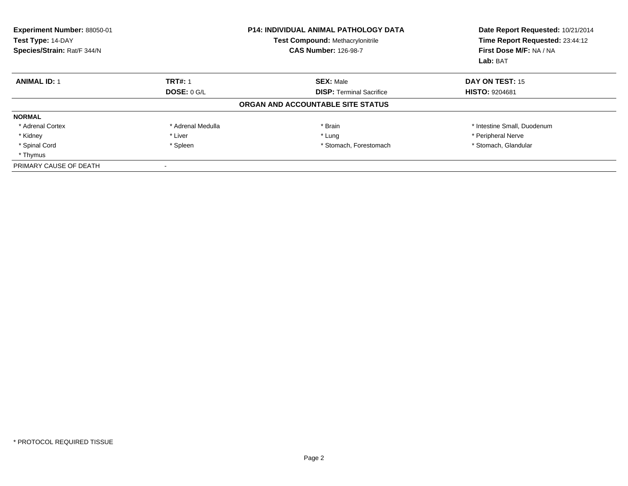| Experiment Number: 88050-01<br>Test Type: 14-DAY<br>Species/Strain: Rat/F 344/N |                   | <b>P14: INDIVIDUAL ANIMAL PATHOLOGY DATA</b><br><b>Test Compound: Methacrylonitrile</b><br><b>CAS Number: 126-98-7</b> | Date Report Requested: 10/21/2014<br>Time Report Requested: 23:44:12<br>First Dose M/F: NA / NA<br>Lab: BAT |
|---------------------------------------------------------------------------------|-------------------|------------------------------------------------------------------------------------------------------------------------|-------------------------------------------------------------------------------------------------------------|
| <b>ANIMAL ID: 1</b>                                                             | <b>TRT#: 1</b>    | <b>SEX: Male</b>                                                                                                       | DAY ON TEST: 15                                                                                             |
|                                                                                 | DOSE: $0$ G/L     | <b>DISP: Terminal Sacrifice</b>                                                                                        | <b>HISTO: 9204681</b>                                                                                       |
|                                                                                 |                   | ORGAN AND ACCOUNTABLE SITE STATUS                                                                                      |                                                                                                             |
| <b>NORMAL</b>                                                                   |                   |                                                                                                                        |                                                                                                             |
| * Adrenal Cortex                                                                | * Adrenal Medulla | * Brain                                                                                                                | * Intestine Small, Duodenum                                                                                 |
| * Kidney                                                                        | * Liver           | * Lung                                                                                                                 | * Peripheral Nerve                                                                                          |
| * Spinal Cord                                                                   | * Spleen          | * Stomach, Forestomach                                                                                                 | * Stomach, Glandular                                                                                        |
| * Thymus                                                                        |                   |                                                                                                                        |                                                                                                             |
| PRIMARY CAUSE OF DEATH                                                          |                   |                                                                                                                        |                                                                                                             |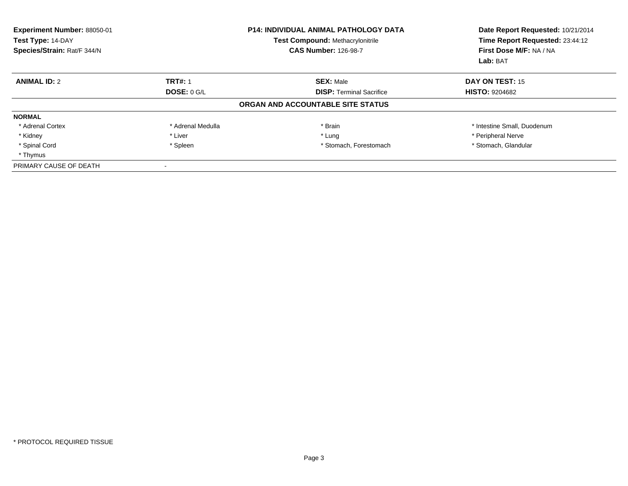| Experiment Number: 88050-01<br>Test Type: 14-DAY<br>Species/Strain: Rat/F 344/N |                   | <b>P14: INDIVIDUAL ANIMAL PATHOLOGY DATA</b><br><b>Test Compound: Methacrylonitrile</b><br><b>CAS Number: 126-98-7</b> | Date Report Requested: 10/21/2014<br>Time Report Requested: 23:44:12<br>First Dose M/F: NA / NA<br>Lab: BAT |
|---------------------------------------------------------------------------------|-------------------|------------------------------------------------------------------------------------------------------------------------|-------------------------------------------------------------------------------------------------------------|
| <b>ANIMAL ID: 2</b>                                                             | <b>TRT#: 1</b>    | <b>SEX: Male</b>                                                                                                       | DAY ON TEST: 15                                                                                             |
|                                                                                 | DOSE: $0$ G/L     | <b>DISP: Terminal Sacrifice</b>                                                                                        | <b>HISTO: 9204682</b>                                                                                       |
|                                                                                 |                   | ORGAN AND ACCOUNTABLE SITE STATUS                                                                                      |                                                                                                             |
| <b>NORMAL</b>                                                                   |                   |                                                                                                                        |                                                                                                             |
| * Adrenal Cortex                                                                | * Adrenal Medulla | * Brain                                                                                                                | * Intestine Small, Duodenum                                                                                 |
| * Kidney                                                                        | * Liver           | * Lung                                                                                                                 | * Peripheral Nerve                                                                                          |
| * Spinal Cord                                                                   | * Spleen          | * Stomach, Forestomach                                                                                                 | * Stomach, Glandular                                                                                        |
| * Thymus                                                                        |                   |                                                                                                                        |                                                                                                             |
| PRIMARY CAUSE OF DEATH                                                          |                   |                                                                                                                        |                                                                                                             |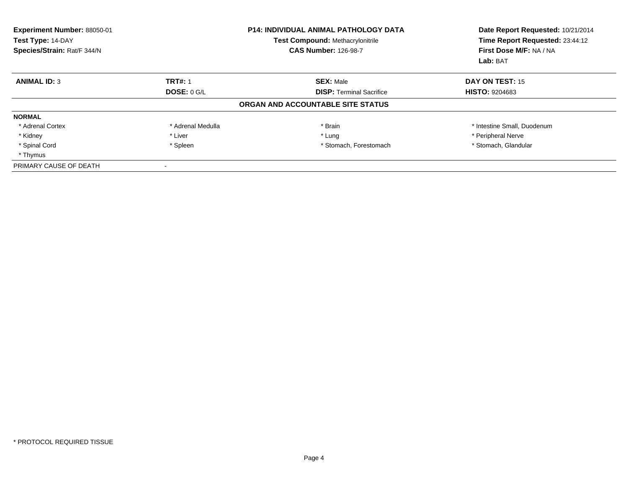| Experiment Number: 88050-01<br>Test Type: 14-DAY<br>Species/Strain: Rat/F 344/N |                   | <b>P14: INDIVIDUAL ANIMAL PATHOLOGY DATA</b><br><b>Test Compound: Methacrylonitrile</b><br><b>CAS Number: 126-98-7</b> | Date Report Requested: 10/21/2014<br>Time Report Requested: 23:44:12<br>First Dose M/F: NA / NA<br>Lab: BAT |
|---------------------------------------------------------------------------------|-------------------|------------------------------------------------------------------------------------------------------------------------|-------------------------------------------------------------------------------------------------------------|
| <b>ANIMAL ID: 3</b>                                                             | <b>TRT#: 1</b>    | <b>SEX: Male</b>                                                                                                       | DAY ON TEST: 15                                                                                             |
|                                                                                 | DOSE: $0$ G/L     | <b>DISP: Terminal Sacrifice</b>                                                                                        | <b>HISTO: 9204683</b>                                                                                       |
|                                                                                 |                   | ORGAN AND ACCOUNTABLE SITE STATUS                                                                                      |                                                                                                             |
| <b>NORMAL</b>                                                                   |                   |                                                                                                                        |                                                                                                             |
| * Adrenal Cortex                                                                | * Adrenal Medulla | * Brain                                                                                                                | * Intestine Small, Duodenum                                                                                 |
| * Kidney                                                                        | * Liver           | * Lung                                                                                                                 | * Peripheral Nerve                                                                                          |
| * Spinal Cord                                                                   | * Spleen          | * Stomach, Forestomach                                                                                                 | * Stomach, Glandular                                                                                        |
| * Thymus                                                                        |                   |                                                                                                                        |                                                                                                             |
| PRIMARY CAUSE OF DEATH                                                          |                   |                                                                                                                        |                                                                                                             |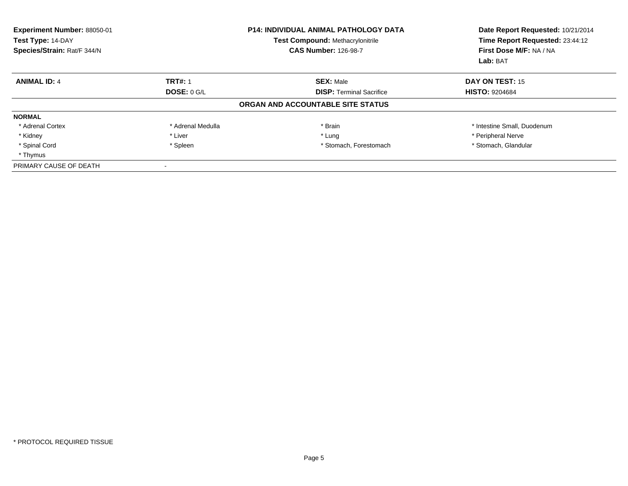| Experiment Number: 88050-01<br>Test Type: 14-DAY<br>Species/Strain: Rat/F 344/N |                   | <b>P14: INDIVIDUAL ANIMAL PATHOLOGY DATA</b><br><b>Test Compound: Methacrylonitrile</b><br><b>CAS Number: 126-98-7</b> | Date Report Requested: 10/21/2014<br>Time Report Requested: 23:44:12<br>First Dose M/F: NA / NA<br>Lab: BAT |
|---------------------------------------------------------------------------------|-------------------|------------------------------------------------------------------------------------------------------------------------|-------------------------------------------------------------------------------------------------------------|
| <b>ANIMAL ID: 4</b>                                                             | <b>TRT#: 1</b>    | <b>SEX: Male</b>                                                                                                       | DAY ON TEST: 15                                                                                             |
|                                                                                 | DOSE: $0$ G/L     | <b>DISP:</b> Terminal Sacrifice                                                                                        | <b>HISTO: 9204684</b>                                                                                       |
|                                                                                 |                   | ORGAN AND ACCOUNTABLE SITE STATUS                                                                                      |                                                                                                             |
| <b>NORMAL</b>                                                                   |                   |                                                                                                                        |                                                                                                             |
| * Adrenal Cortex                                                                | * Adrenal Medulla | * Brain                                                                                                                | * Intestine Small, Duodenum                                                                                 |
| * Kidney                                                                        | * Liver           | * Lung                                                                                                                 | * Peripheral Nerve                                                                                          |
| * Spinal Cord                                                                   | * Spleen          | * Stomach, Forestomach                                                                                                 | * Stomach, Glandular                                                                                        |
| * Thymus                                                                        |                   |                                                                                                                        |                                                                                                             |
| PRIMARY CAUSE OF DEATH                                                          |                   |                                                                                                                        |                                                                                                             |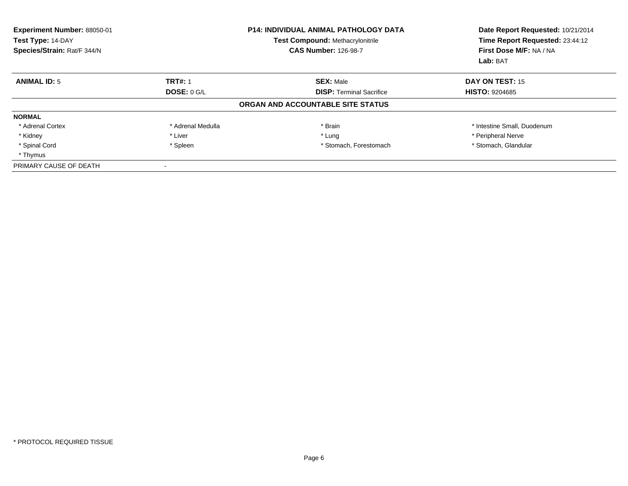| Experiment Number: 88050-01<br>Test Type: 14-DAY<br>Species/Strain: Rat/F 344/N |                    | <b>P14: INDIVIDUAL ANIMAL PATHOLOGY DATA</b><br><b>Test Compound: Methacrylonitrile</b><br><b>CAS Number: 126-98-7</b> | Date Report Requested: 10/21/2014<br>Time Report Requested: 23:44:12<br>First Dose M/F: NA / NA<br>Lab: BAT |
|---------------------------------------------------------------------------------|--------------------|------------------------------------------------------------------------------------------------------------------------|-------------------------------------------------------------------------------------------------------------|
| <b>ANIMAL ID: 5</b>                                                             | <b>TRT#: 1</b>     | <b>SEX: Male</b>                                                                                                       | DAY ON TEST: 15                                                                                             |
|                                                                                 | <b>DOSE: 0 G/L</b> | <b>DISP:</b> Terminal Sacrifice                                                                                        | <b>HISTO: 9204685</b>                                                                                       |
|                                                                                 |                    | ORGAN AND ACCOUNTABLE SITE STATUS                                                                                      |                                                                                                             |
| <b>NORMAL</b>                                                                   |                    |                                                                                                                        |                                                                                                             |
| * Adrenal Cortex                                                                | * Adrenal Medulla  | * Brain                                                                                                                | * Intestine Small, Duodenum                                                                                 |
| * Kidney                                                                        | * Liver            | * Lung                                                                                                                 | * Peripheral Nerve                                                                                          |
| * Spinal Cord                                                                   | * Spleen           | * Stomach, Forestomach                                                                                                 | * Stomach, Glandular                                                                                        |
| * Thymus                                                                        |                    |                                                                                                                        |                                                                                                             |
| PRIMARY CAUSE OF DEATH                                                          |                    |                                                                                                                        |                                                                                                             |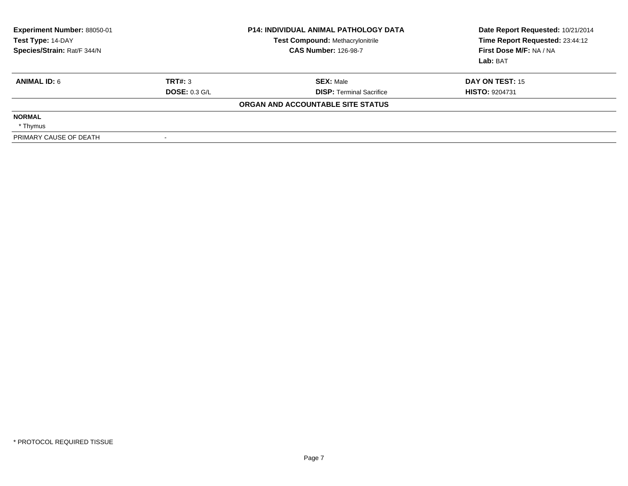| Experiment Number: 88050-01<br>Test Type: 14-DAY<br>Species/Strain: Rat/F 344/N |                      | <b>P14: INDIVIDUAL ANIMAL PATHOLOGY DATA</b><br><b>Test Compound: Methacrylonitrile</b><br><b>CAS Number: 126-98-7</b> | Date Report Requested: 10/21/2014<br>Time Report Requested: 23:44:12<br>First Dose M/F: NA / NA<br>Lab: BAT |
|---------------------------------------------------------------------------------|----------------------|------------------------------------------------------------------------------------------------------------------------|-------------------------------------------------------------------------------------------------------------|
| <b>ANIMAL ID: 6</b>                                                             | TRT#: 3              | <b>SEX: Male</b>                                                                                                       | DAY ON TEST: 15                                                                                             |
|                                                                                 | <b>DOSE: 0.3 G/L</b> | <b>DISP:</b> Terminal Sacrifice                                                                                        | <b>HISTO: 9204731</b>                                                                                       |
|                                                                                 |                      | ORGAN AND ACCOUNTABLE SITE STATUS                                                                                      |                                                                                                             |
| <b>NORMAL</b>                                                                   |                      |                                                                                                                        |                                                                                                             |
| * Thymus                                                                        |                      |                                                                                                                        |                                                                                                             |
| PRIMARY CAUSE OF DEATH                                                          |                      |                                                                                                                        |                                                                                                             |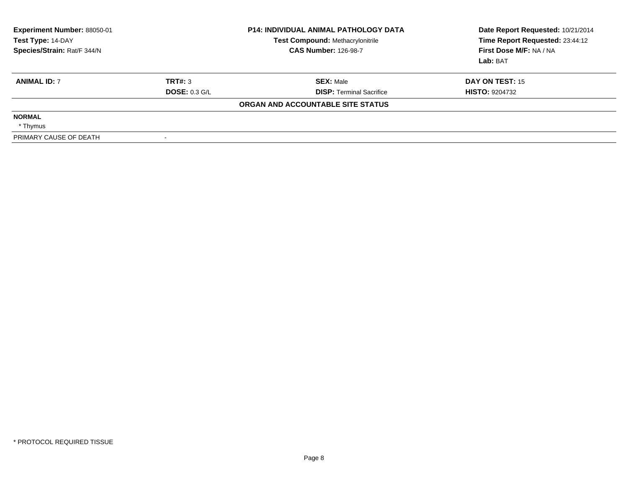| <b>Experiment Number: 88050-01</b><br>Test Type: 14-DAY<br>Species/Strain: Rat/F 344/N |                      | <b>P14: INDIVIDUAL ANIMAL PATHOLOGY DATA</b><br><b>Test Compound: Methacrylonitrile</b><br><b>CAS Number: 126-98-7</b> | Date Report Requested: 10/21/2014<br>Time Report Requested: 23:44:12<br>First Dose M/F: NA / NA<br>Lab: BAT |
|----------------------------------------------------------------------------------------|----------------------|------------------------------------------------------------------------------------------------------------------------|-------------------------------------------------------------------------------------------------------------|
| <b>ANIMAL ID: 7</b>                                                                    | TRT#: 3              | <b>SEX: Male</b>                                                                                                       | DAY ON TEST: 15                                                                                             |
|                                                                                        | <b>DOSE: 0.3 G/L</b> | <b>DISP: Terminal Sacrifice</b>                                                                                        | <b>HISTO: 9204732</b>                                                                                       |
|                                                                                        |                      | ORGAN AND ACCOUNTABLE SITE STATUS                                                                                      |                                                                                                             |
| <b>NORMAL</b>                                                                          |                      |                                                                                                                        |                                                                                                             |
| * Thymus                                                                               |                      |                                                                                                                        |                                                                                                             |
| PRIMARY CAUSE OF DEATH                                                                 | $\sim$               |                                                                                                                        |                                                                                                             |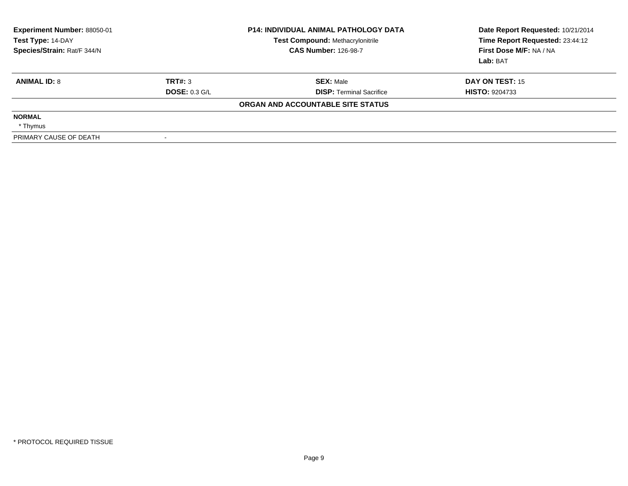| Experiment Number: 88050-01<br>Test Type: 14-DAY<br>Species/Strain: Rat/F 344/N |                      | <b>P14: INDIVIDUAL ANIMAL PATHOLOGY DATA</b><br><b>Test Compound: Methacrylonitrile</b><br><b>CAS Number: 126-98-7</b> | Date Report Requested: 10/21/2014<br>Time Report Requested: 23:44:12<br>First Dose M/F: NA / NA<br>Lab: BAT |
|---------------------------------------------------------------------------------|----------------------|------------------------------------------------------------------------------------------------------------------------|-------------------------------------------------------------------------------------------------------------|
| <b>ANIMAL ID: 8</b>                                                             | TRT#: 3              | <b>SEX: Male</b>                                                                                                       | <b>DAY ON TEST: 15</b>                                                                                      |
|                                                                                 | <b>DOSE: 0.3 G/L</b> | <b>DISP:</b> Terminal Sacrifice                                                                                        | <b>HISTO: 9204733</b>                                                                                       |
|                                                                                 |                      | ORGAN AND ACCOUNTABLE SITE STATUS                                                                                      |                                                                                                             |
| <b>NORMAL</b>                                                                   |                      |                                                                                                                        |                                                                                                             |
| * Thymus                                                                        |                      |                                                                                                                        |                                                                                                             |
| PRIMARY CAUSE OF DEATH                                                          |                      |                                                                                                                        |                                                                                                             |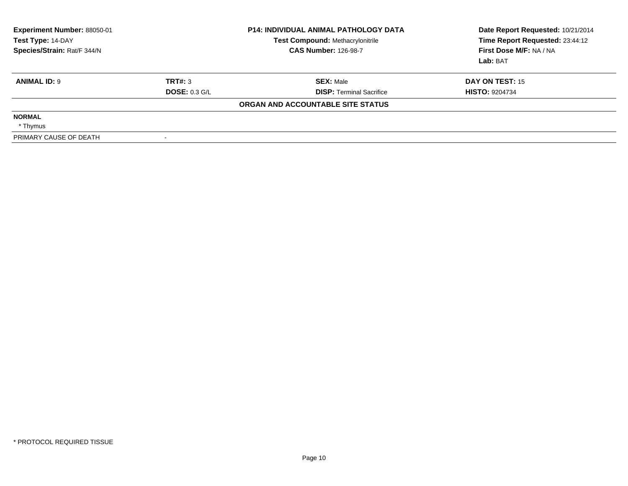| Experiment Number: 88050-01<br>Test Type: 14-DAY<br>Species/Strain: Rat/F 344/N |                      | <b>P14: INDIVIDUAL ANIMAL PATHOLOGY DATA</b><br><b>Test Compound: Methacrylonitrile</b><br><b>CAS Number: 126-98-7</b> | Date Report Requested: 10/21/2014<br>Time Report Requested: 23:44:12<br>First Dose M/F: NA / NA<br>Lab: BAT |
|---------------------------------------------------------------------------------|----------------------|------------------------------------------------------------------------------------------------------------------------|-------------------------------------------------------------------------------------------------------------|
| <b>ANIMAL ID: 9</b>                                                             | TRT#: 3              | <b>SEX: Male</b>                                                                                                       | <b>DAY ON TEST: 15</b>                                                                                      |
|                                                                                 | <b>DOSE: 0.3 G/L</b> | <b>DISP:</b> Terminal Sacrifice                                                                                        | <b>HISTO: 9204734</b>                                                                                       |
|                                                                                 |                      | ORGAN AND ACCOUNTABLE SITE STATUS                                                                                      |                                                                                                             |
| <b>NORMAL</b>                                                                   |                      |                                                                                                                        |                                                                                                             |
| * Thymus                                                                        |                      |                                                                                                                        |                                                                                                             |
| PRIMARY CAUSE OF DEATH                                                          |                      |                                                                                                                        |                                                                                                             |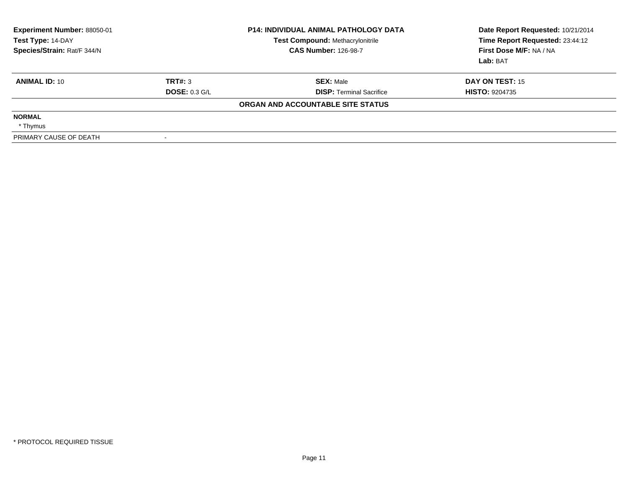| Experiment Number: 88050-01<br>Test Type: 14-DAY<br>Species/Strain: Rat/F 344/N |                      | <b>P14: INDIVIDUAL ANIMAL PATHOLOGY DATA</b><br><b>Test Compound: Methacrylonitrile</b><br><b>CAS Number: 126-98-7</b> | Date Report Requested: 10/21/2014<br>Time Report Requested: 23:44:12<br>First Dose M/F: NA / NA<br>Lab: BAT |
|---------------------------------------------------------------------------------|----------------------|------------------------------------------------------------------------------------------------------------------------|-------------------------------------------------------------------------------------------------------------|
| <b>ANIMAL ID: 10</b>                                                            | TRT#: 3              | <b>SEX: Male</b>                                                                                                       | <b>DAY ON TEST: 15</b>                                                                                      |
|                                                                                 | <b>DOSE: 0.3 G/L</b> | <b>DISP:</b> Terminal Sacrifice                                                                                        | <b>HISTO: 9204735</b>                                                                                       |
|                                                                                 |                      | ORGAN AND ACCOUNTABLE SITE STATUS                                                                                      |                                                                                                             |
| <b>NORMAL</b>                                                                   |                      |                                                                                                                        |                                                                                                             |
| * Thymus                                                                        |                      |                                                                                                                        |                                                                                                             |
| PRIMARY CAUSE OF DEATH                                                          |                      |                                                                                                                        |                                                                                                             |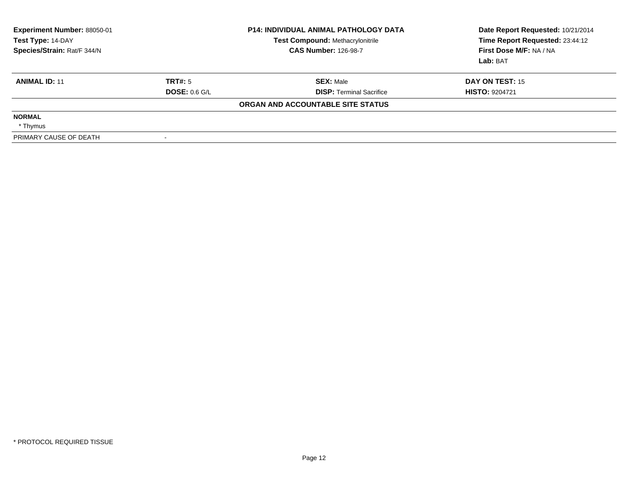| <b>Experiment Number: 88050-01</b><br>Test Type: 14-DAY<br>Species/Strain: Rat/F 344/N |                 | <b>P14: INDIVIDUAL ANIMAL PATHOLOGY DATA</b><br>Test Compound: Methacrylonitrile<br><b>CAS Number: 126-98-7</b> | Date Report Requested: 10/21/2014<br>Time Report Requested: 23:44:12<br>First Dose M/F: NA / NA<br>Lab: BAT |
|----------------------------------------------------------------------------------------|-----------------|-----------------------------------------------------------------------------------------------------------------|-------------------------------------------------------------------------------------------------------------|
| <b>ANIMAL ID: 11</b>                                                                   | TRT#: 5         | <b>SEX: Male</b>                                                                                                | DAY ON TEST: 15                                                                                             |
|                                                                                        | DOSE: $0.6$ G/L | <b>DISP: Terminal Sacrifice</b>                                                                                 | <b>HISTO: 9204721</b>                                                                                       |
|                                                                                        |                 | ORGAN AND ACCOUNTABLE SITE STATUS                                                                               |                                                                                                             |
| <b>NORMAL</b>                                                                          |                 |                                                                                                                 |                                                                                                             |
| * Thymus                                                                               |                 |                                                                                                                 |                                                                                                             |
| PRIMARY CAUSE OF DEATH                                                                 |                 |                                                                                                                 |                                                                                                             |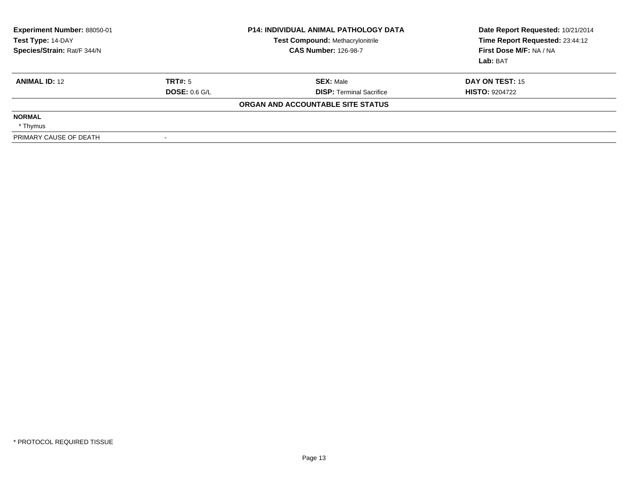| Experiment Number: 88050-01<br>Test Type: 14-DAY<br>Species/Strain: Rat/F 344/N |                      | <b>P14: INDIVIDUAL ANIMAL PATHOLOGY DATA</b><br><b>Test Compound: Methacrylonitrile</b><br><b>CAS Number: 126-98-7</b> | Date Report Requested: 10/21/2014<br>Time Report Requested: 23:44:12<br>First Dose M/F: NA / NA<br>Lab: BAT |
|---------------------------------------------------------------------------------|----------------------|------------------------------------------------------------------------------------------------------------------------|-------------------------------------------------------------------------------------------------------------|
| <b>ANIMAL ID: 12</b>                                                            | TRT#: 5              | <b>SEX: Male</b>                                                                                                       | DAY ON TEST: 15                                                                                             |
|                                                                                 | <b>DOSE: 0.6 G/L</b> | <b>DISP:</b> Terminal Sacrifice                                                                                        | <b>HISTO: 9204722</b>                                                                                       |
|                                                                                 |                      | ORGAN AND ACCOUNTABLE SITE STATUS                                                                                      |                                                                                                             |
| <b>NORMAL</b>                                                                   |                      |                                                                                                                        |                                                                                                             |
| * Thymus                                                                        |                      |                                                                                                                        |                                                                                                             |
| PRIMARY CAUSE OF DEATH                                                          |                      |                                                                                                                        |                                                                                                             |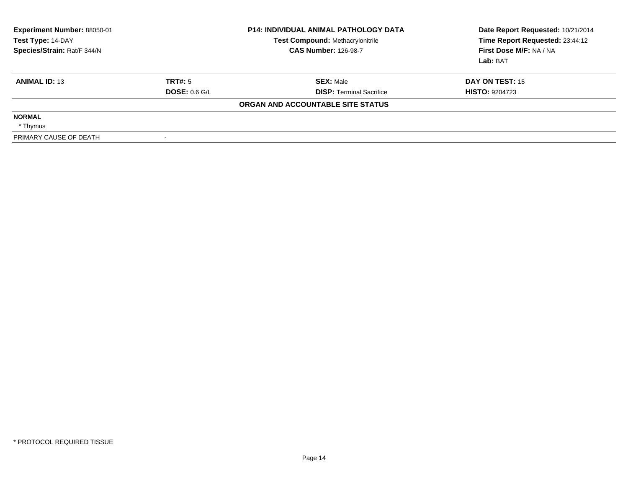| <b>Experiment Number: 88050-01</b><br>Test Type: 14-DAY<br>Species/Strain: Rat/F 344/N |                 | <b>P14: INDIVIDUAL ANIMAL PATHOLOGY DATA</b><br>Test Compound: Methacrylonitrile<br><b>CAS Number: 126-98-7</b> | Date Report Requested: 10/21/2014<br>Time Report Requested: 23:44:12<br>First Dose M/F: NA / NA<br>Lab: BAT |
|----------------------------------------------------------------------------------------|-----------------|-----------------------------------------------------------------------------------------------------------------|-------------------------------------------------------------------------------------------------------------|
| <b>ANIMAL ID: 13</b>                                                                   | TRT#: 5         | <b>SEX: Male</b>                                                                                                | DAY ON TEST: 15                                                                                             |
|                                                                                        | DOSE: $0.6$ G/L | <b>DISP: Terminal Sacrifice</b>                                                                                 | <b>HISTO: 9204723</b>                                                                                       |
|                                                                                        |                 | ORGAN AND ACCOUNTABLE SITE STATUS                                                                               |                                                                                                             |
| <b>NORMAL</b>                                                                          |                 |                                                                                                                 |                                                                                                             |
| * Thymus                                                                               |                 |                                                                                                                 |                                                                                                             |
| PRIMARY CAUSE OF DEATH                                                                 |                 |                                                                                                                 |                                                                                                             |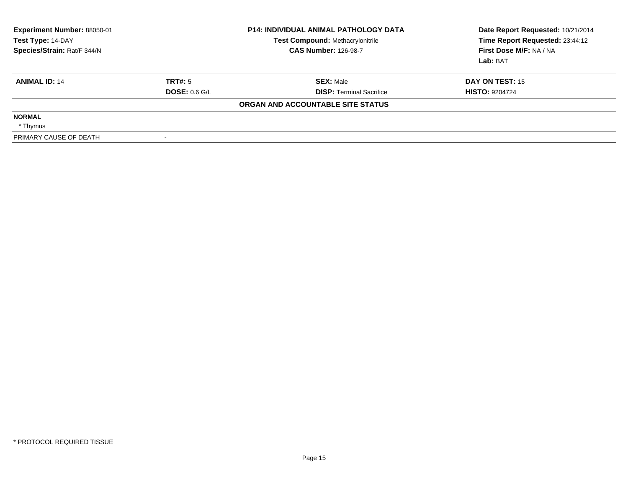| Experiment Number: 88050-01<br>Test Type: 14-DAY<br>Species/Strain: Rat/F 344/N |                      | <b>P14: INDIVIDUAL ANIMAL PATHOLOGY DATA</b><br><b>Test Compound: Methacrylonitrile</b><br><b>CAS Number: 126-98-7</b> | Date Report Requested: 10/21/2014<br>Time Report Requested: 23:44:12<br>First Dose M/F: NA / NA<br>Lab: BAT |
|---------------------------------------------------------------------------------|----------------------|------------------------------------------------------------------------------------------------------------------------|-------------------------------------------------------------------------------------------------------------|
| <b>ANIMAL ID: 14</b>                                                            | TRT#: 5              | <b>SEX: Male</b>                                                                                                       | <b>DAY ON TEST: 15</b>                                                                                      |
|                                                                                 | <b>DOSE: 0.6 G/L</b> | <b>DISP:</b> Terminal Sacrifice                                                                                        | <b>HISTO: 9204724</b>                                                                                       |
|                                                                                 |                      | ORGAN AND ACCOUNTABLE SITE STATUS                                                                                      |                                                                                                             |
| <b>NORMAL</b>                                                                   |                      |                                                                                                                        |                                                                                                             |
| * Thymus                                                                        |                      |                                                                                                                        |                                                                                                             |
| PRIMARY CAUSE OF DEATH                                                          |                      |                                                                                                                        |                                                                                                             |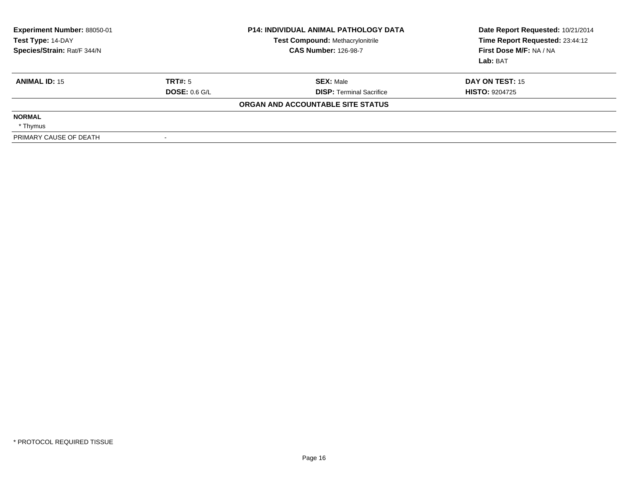| <b>Experiment Number: 88050-01</b><br>Test Type: 14-DAY<br>Species/Strain: Rat/F 344/N |                      | <b>P14: INDIVIDUAL ANIMAL PATHOLOGY DATA</b><br><b>Test Compound: Methacrylonitrile</b><br><b>CAS Number: 126-98-7</b> | Date Report Requested: 10/21/2014<br>Time Report Requested: 23:44:12<br>First Dose M/F: NA / NA<br>Lab: BAT |
|----------------------------------------------------------------------------------------|----------------------|------------------------------------------------------------------------------------------------------------------------|-------------------------------------------------------------------------------------------------------------|
| <b>ANIMAL ID: 15</b>                                                                   | TRT#: 5              | <b>SEX: Male</b>                                                                                                       | DAY ON TEST: 15                                                                                             |
|                                                                                        | <b>DOSE: 0.6 G/L</b> | <b>DISP:</b> Terminal Sacrifice                                                                                        | <b>HISTO: 9204725</b>                                                                                       |
|                                                                                        |                      | ORGAN AND ACCOUNTABLE SITE STATUS                                                                                      |                                                                                                             |
| <b>NORMAL</b>                                                                          |                      |                                                                                                                        |                                                                                                             |
| * Thymus                                                                               |                      |                                                                                                                        |                                                                                                             |
| PRIMARY CAUSE OF DEATH                                                                 |                      |                                                                                                                        |                                                                                                             |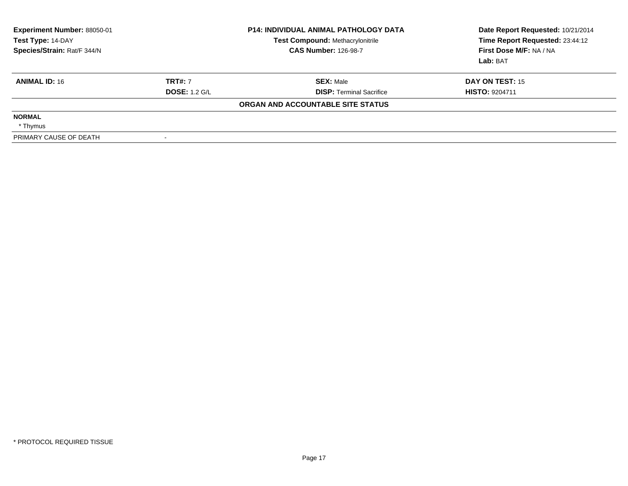| Experiment Number: 88050-01<br>Test Type: 14-DAY<br>Species/Strain: Rat/F 344/N |                      | <b>P14: INDIVIDUAL ANIMAL PATHOLOGY DATA</b><br><b>Test Compound: Methacrylonitrile</b><br><b>CAS Number: 126-98-7</b> | Date Report Requested: 10/21/2014<br>Time Report Requested: 23:44:12<br>First Dose M/F: NA / NA<br>Lab: BAT |
|---------------------------------------------------------------------------------|----------------------|------------------------------------------------------------------------------------------------------------------------|-------------------------------------------------------------------------------------------------------------|
| <b>ANIMAL ID: 16</b>                                                            | <b>TRT#: 7</b>       | <b>SEX: Male</b>                                                                                                       | DAY ON TEST: 15                                                                                             |
|                                                                                 | <b>DOSE: 1.2 G/L</b> | <b>DISP:</b> Terminal Sacrifice                                                                                        | <b>HISTO: 9204711</b>                                                                                       |
|                                                                                 |                      | ORGAN AND ACCOUNTABLE SITE STATUS                                                                                      |                                                                                                             |
| <b>NORMAL</b>                                                                   |                      |                                                                                                                        |                                                                                                             |
| * Thymus                                                                        |                      |                                                                                                                        |                                                                                                             |
| PRIMARY CAUSE OF DEATH                                                          |                      |                                                                                                                        |                                                                                                             |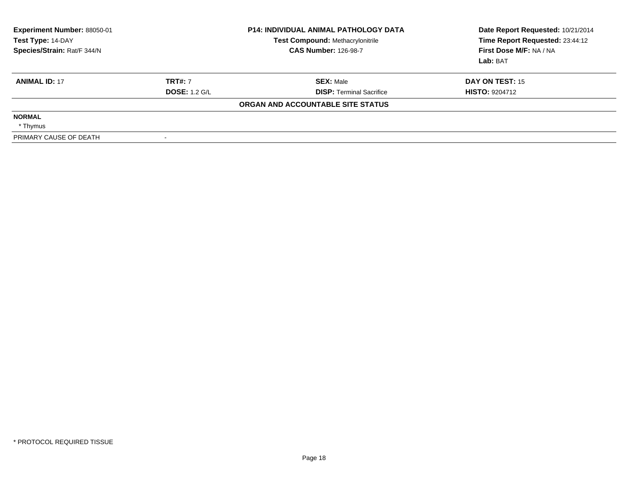| Experiment Number: 88050-01<br>Test Type: 14-DAY<br>Species/Strain: Rat/F 344/N |                      | <b>P14: INDIVIDUAL ANIMAL PATHOLOGY DATA</b><br><b>Test Compound: Methacrylonitrile</b><br><b>CAS Number: 126-98-7</b> | Date Report Requested: 10/21/2014<br>Time Report Requested: 23:44:12<br>First Dose M/F: NA / NA<br>Lab: BAT |
|---------------------------------------------------------------------------------|----------------------|------------------------------------------------------------------------------------------------------------------------|-------------------------------------------------------------------------------------------------------------|
| <b>ANIMAL ID: 17</b>                                                            | <b>TRT#: 7</b>       | <b>SEX: Male</b>                                                                                                       | DAY ON TEST: 15                                                                                             |
|                                                                                 | <b>DOSE: 1.2 G/L</b> | <b>DISP:</b> Terminal Sacrifice                                                                                        | <b>HISTO: 9204712</b>                                                                                       |
|                                                                                 |                      | ORGAN AND ACCOUNTABLE SITE STATUS                                                                                      |                                                                                                             |
| <b>NORMAL</b>                                                                   |                      |                                                                                                                        |                                                                                                             |
| * Thymus                                                                        |                      |                                                                                                                        |                                                                                                             |
| PRIMARY CAUSE OF DEATH                                                          |                      |                                                                                                                        |                                                                                                             |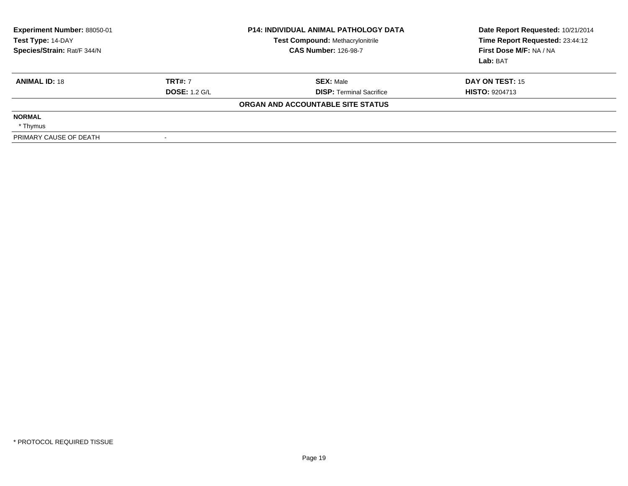| Experiment Number: 88050-01<br>Test Type: 14-DAY<br>Species/Strain: Rat/F 344/N |                      | <b>P14: INDIVIDUAL ANIMAL PATHOLOGY DATA</b><br><b>Test Compound: Methacrylonitrile</b><br><b>CAS Number: 126-98-7</b> | Date Report Requested: 10/21/2014<br>Time Report Requested: 23:44:12<br>First Dose M/F: NA / NA<br>Lab: BAT |
|---------------------------------------------------------------------------------|----------------------|------------------------------------------------------------------------------------------------------------------------|-------------------------------------------------------------------------------------------------------------|
| <b>ANIMAL ID: 18</b>                                                            | <b>TRT#: 7</b>       | <b>SEX: Male</b>                                                                                                       | DAY ON TEST: 15                                                                                             |
|                                                                                 | <b>DOSE: 1.2 G/L</b> | <b>DISP:</b> Terminal Sacrifice                                                                                        | <b>HISTO: 9204713</b>                                                                                       |
|                                                                                 |                      | ORGAN AND ACCOUNTABLE SITE STATUS                                                                                      |                                                                                                             |
| <b>NORMAL</b>                                                                   |                      |                                                                                                                        |                                                                                                             |
| * Thymus                                                                        |                      |                                                                                                                        |                                                                                                             |
| PRIMARY CAUSE OF DEATH                                                          |                      |                                                                                                                        |                                                                                                             |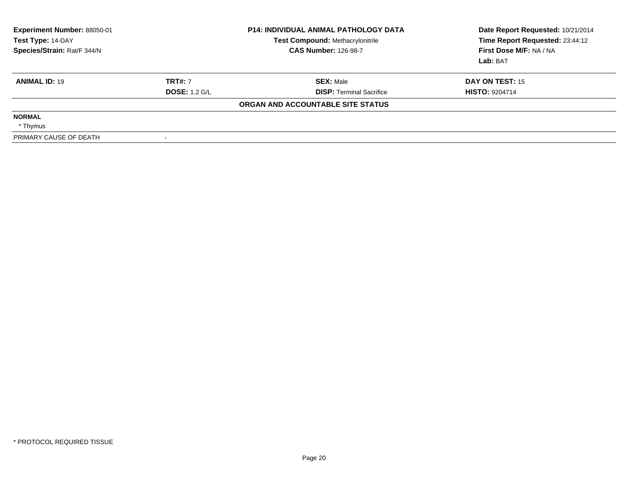| Experiment Number: 88050-01<br>Test Type: 14-DAY<br>Species/Strain: Rat/F 344/N |                      | <b>P14: INDIVIDUAL ANIMAL PATHOLOGY DATA</b><br><b>Test Compound: Methacrylonitrile</b><br><b>CAS Number: 126-98-7</b> | Date Report Requested: 10/21/2014<br>Time Report Requested: 23:44:12<br>First Dose M/F: NA / NA<br>Lab: BAT |
|---------------------------------------------------------------------------------|----------------------|------------------------------------------------------------------------------------------------------------------------|-------------------------------------------------------------------------------------------------------------|
| <b>ANIMAL ID: 19</b>                                                            | <b>TRT#: 7</b>       | <b>SEX: Male</b>                                                                                                       | <b>DAY ON TEST: 15</b>                                                                                      |
|                                                                                 | <b>DOSE: 1.2 G/L</b> | <b>DISP:</b> Terminal Sacrifice                                                                                        | <b>HISTO: 9204714</b>                                                                                       |
|                                                                                 |                      | ORGAN AND ACCOUNTABLE SITE STATUS                                                                                      |                                                                                                             |
| <b>NORMAL</b>                                                                   |                      |                                                                                                                        |                                                                                                             |
| * Thymus                                                                        |                      |                                                                                                                        |                                                                                                             |
| PRIMARY CAUSE OF DEATH                                                          |                      |                                                                                                                        |                                                                                                             |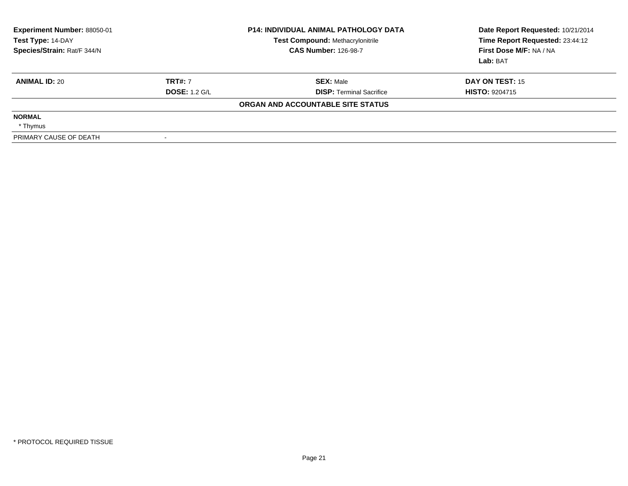| Experiment Number: 88050-01<br>Test Type: 14-DAY<br>Species/Strain: Rat/F 344/N |                      | <b>P14: INDIVIDUAL ANIMAL PATHOLOGY DATA</b><br><b>Test Compound: Methacrylonitrile</b><br><b>CAS Number: 126-98-7</b> | Date Report Requested: 10/21/2014<br>Time Report Requested: 23:44:12<br>First Dose M/F: NA / NA<br>Lab: BAT |
|---------------------------------------------------------------------------------|----------------------|------------------------------------------------------------------------------------------------------------------------|-------------------------------------------------------------------------------------------------------------|
| <b>ANIMAL ID: 20</b>                                                            | <b>TRT#: 7</b>       | <b>SEX: Male</b>                                                                                                       | DAY ON TEST: 15                                                                                             |
|                                                                                 | <b>DOSE: 1.2 G/L</b> | <b>DISP:</b> Terminal Sacrifice                                                                                        | <b>HISTO: 9204715</b>                                                                                       |
|                                                                                 |                      | ORGAN AND ACCOUNTABLE SITE STATUS                                                                                      |                                                                                                             |
| <b>NORMAL</b>                                                                   |                      |                                                                                                                        |                                                                                                             |
| * Thymus                                                                        |                      |                                                                                                                        |                                                                                                             |
| PRIMARY CAUSE OF DEATH                                                          |                      |                                                                                                                        |                                                                                                             |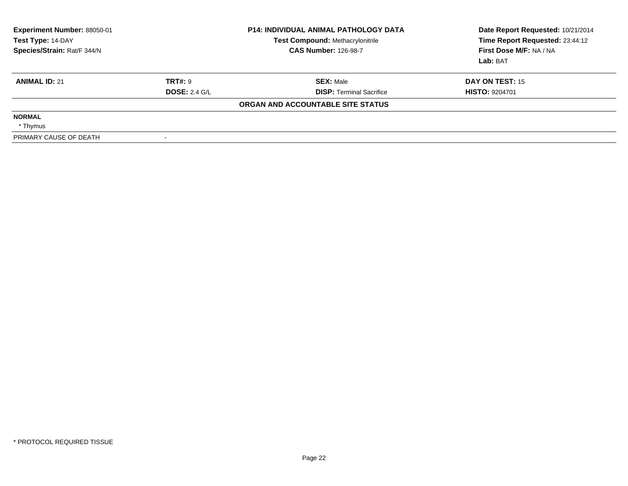| Experiment Number: 88050-01<br>Test Type: 14-DAY<br>Species/Strain: Rat/F 344/N |                      | <b>P14: INDIVIDUAL ANIMAL PATHOLOGY DATA</b><br><b>Test Compound: Methacrylonitrile</b><br><b>CAS Number: 126-98-7</b> | Date Report Requested: 10/21/2014<br>Time Report Requested: 23:44:12<br>First Dose M/F: NA / NA<br>Lab: BAT |
|---------------------------------------------------------------------------------|----------------------|------------------------------------------------------------------------------------------------------------------------|-------------------------------------------------------------------------------------------------------------|
| <b>ANIMAL ID: 21</b>                                                            | <b>TRT#: 9</b>       | <b>SEX: Male</b>                                                                                                       | <b>DAY ON TEST: 15</b>                                                                                      |
|                                                                                 | <b>DOSE: 2.4 G/L</b> | <b>DISP:</b> Terminal Sacrifice                                                                                        | <b>HISTO: 9204701</b>                                                                                       |
|                                                                                 |                      | ORGAN AND ACCOUNTABLE SITE STATUS                                                                                      |                                                                                                             |
| <b>NORMAL</b>                                                                   |                      |                                                                                                                        |                                                                                                             |
| * Thymus                                                                        |                      |                                                                                                                        |                                                                                                             |
| PRIMARY CAUSE OF DEATH                                                          |                      |                                                                                                                        |                                                                                                             |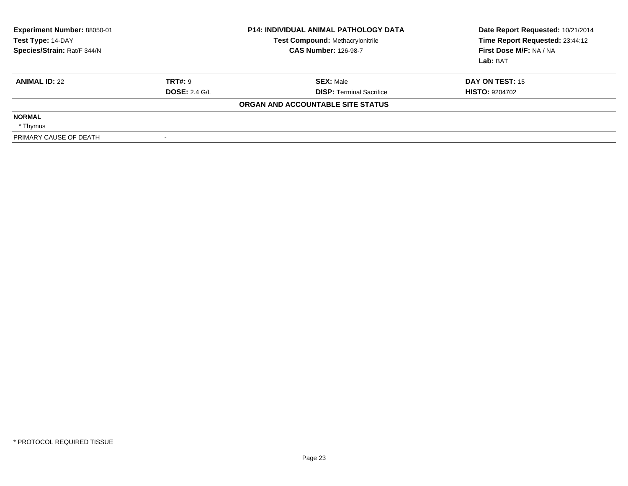| Experiment Number: 88050-01<br>Test Type: 14-DAY<br>Species/Strain: Rat/F 344/N |                      | <b>P14: INDIVIDUAL ANIMAL PATHOLOGY DATA</b><br><b>Test Compound: Methacrylonitrile</b><br><b>CAS Number: 126-98-7</b> | Date Report Requested: 10/21/2014<br>Time Report Requested: 23:44:12<br>First Dose M/F: NA / NA<br>Lab: BAT |
|---------------------------------------------------------------------------------|----------------------|------------------------------------------------------------------------------------------------------------------------|-------------------------------------------------------------------------------------------------------------|
| <b>ANIMAL ID: 22</b>                                                            | <b>TRT#: 9</b>       | <b>SEX: Male</b>                                                                                                       | DAY ON TEST: 15                                                                                             |
|                                                                                 | <b>DOSE: 2.4 G/L</b> | <b>DISP:</b> Terminal Sacrifice                                                                                        | <b>HISTO: 9204702</b>                                                                                       |
|                                                                                 |                      | ORGAN AND ACCOUNTABLE SITE STATUS                                                                                      |                                                                                                             |
| <b>NORMAL</b>                                                                   |                      |                                                                                                                        |                                                                                                             |
| * Thymus                                                                        |                      |                                                                                                                        |                                                                                                             |
| PRIMARY CAUSE OF DEATH                                                          |                      |                                                                                                                        |                                                                                                             |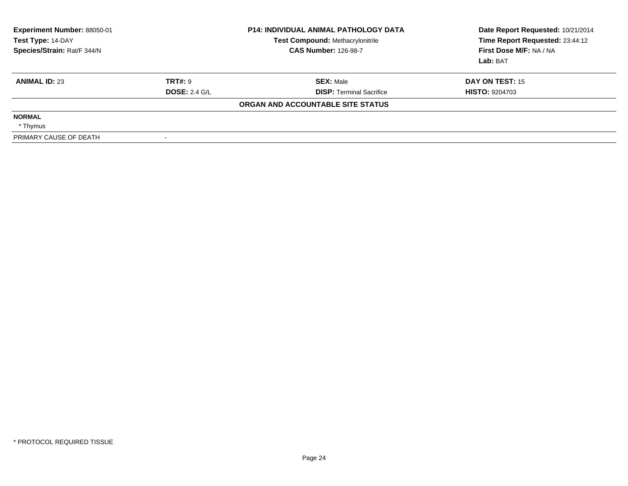| <b>Experiment Number: 88050-01</b><br>Test Type: 14-DAY<br>Species/Strain: Rat/F 344/N |                      | <b>P14: INDIVIDUAL ANIMAL PATHOLOGY DATA</b><br><b>Test Compound: Methacrylonitrile</b><br><b>CAS Number: 126-98-7</b> | Date Report Requested: 10/21/2014<br>Time Report Requested: 23:44:12<br>First Dose M/F: NA / NA<br>Lab: BAT |
|----------------------------------------------------------------------------------------|----------------------|------------------------------------------------------------------------------------------------------------------------|-------------------------------------------------------------------------------------------------------------|
| <b>ANIMAL ID: 23</b>                                                                   | <b>TRT#: 9</b>       | <b>SEX: Male</b>                                                                                                       | DAY ON TEST: 15                                                                                             |
|                                                                                        | <b>DOSE: 2.4 G/L</b> | <b>DISP:</b> Terminal Sacrifice                                                                                        | <b>HISTO: 9204703</b>                                                                                       |
|                                                                                        |                      | ORGAN AND ACCOUNTABLE SITE STATUS                                                                                      |                                                                                                             |
| <b>NORMAL</b>                                                                          |                      |                                                                                                                        |                                                                                                             |
| * Thymus                                                                               |                      |                                                                                                                        |                                                                                                             |
| PRIMARY CAUSE OF DEATH                                                                 |                      |                                                                                                                        |                                                                                                             |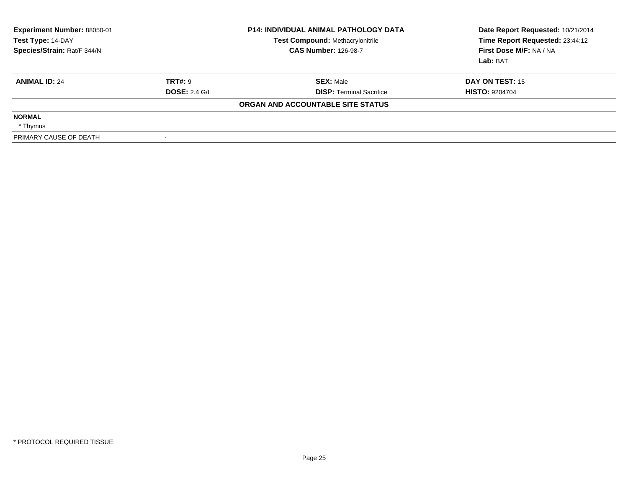| Experiment Number: 88050-01<br>Test Type: 14-DAY<br>Species/Strain: Rat/F 344/N |                      | <b>P14: INDIVIDUAL ANIMAL PATHOLOGY DATA</b><br><b>Test Compound: Methacrylonitrile</b><br><b>CAS Number: 126-98-7</b> | Date Report Requested: 10/21/2014<br>Time Report Requested: 23:44:12<br>First Dose M/F: NA / NA<br>Lab: BAT |
|---------------------------------------------------------------------------------|----------------------|------------------------------------------------------------------------------------------------------------------------|-------------------------------------------------------------------------------------------------------------|
| <b>ANIMAL ID: 24</b>                                                            | <b>TRT#: 9</b>       | <b>SEX: Male</b>                                                                                                       | DAY ON TEST: 15                                                                                             |
|                                                                                 | <b>DOSE: 2.4 G/L</b> | <b>DISP:</b> Terminal Sacrifice                                                                                        | <b>HISTO: 9204704</b>                                                                                       |
|                                                                                 |                      | ORGAN AND ACCOUNTABLE SITE STATUS                                                                                      |                                                                                                             |
| <b>NORMAL</b>                                                                   |                      |                                                                                                                        |                                                                                                             |
| * Thymus                                                                        |                      |                                                                                                                        |                                                                                                             |
| PRIMARY CAUSE OF DEATH                                                          |                      |                                                                                                                        |                                                                                                             |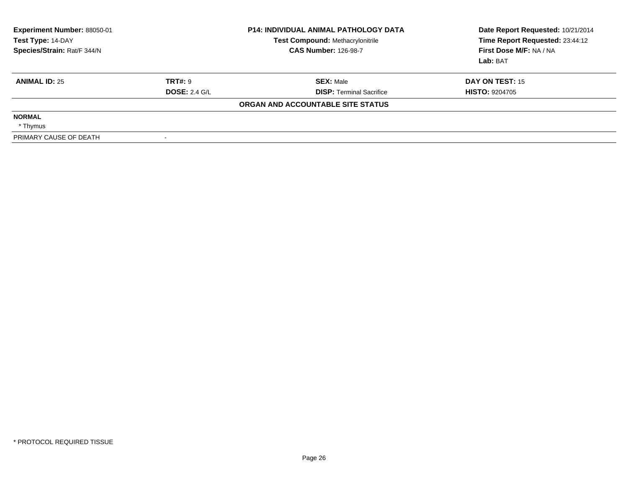| <b>Experiment Number: 88050-01</b><br>Test Type: 14-DAY<br>Species/Strain: Rat/F 344/N |                      | <b>P14: INDIVIDUAL ANIMAL PATHOLOGY DATA</b><br><b>Test Compound: Methacrylonitrile</b><br><b>CAS Number: 126-98-7</b> | Date Report Requested: 10/21/2014<br>Time Report Requested: 23:44:12<br>First Dose M/F: NA / NA<br>Lab: BAT |
|----------------------------------------------------------------------------------------|----------------------|------------------------------------------------------------------------------------------------------------------------|-------------------------------------------------------------------------------------------------------------|
| <b>ANIMAL ID: 25</b>                                                                   | <b>TRT#: 9</b>       | <b>SEX: Male</b>                                                                                                       | DAY ON TEST: 15                                                                                             |
|                                                                                        | <b>DOSE: 2.4 G/L</b> | <b>DISP: Terminal Sacrifice</b>                                                                                        | <b>HISTO: 9204705</b>                                                                                       |
|                                                                                        |                      | ORGAN AND ACCOUNTABLE SITE STATUS                                                                                      |                                                                                                             |
| <b>NORMAL</b>                                                                          |                      |                                                                                                                        |                                                                                                             |
| * Thymus                                                                               |                      |                                                                                                                        |                                                                                                             |
| PRIMARY CAUSE OF DEATH                                                                 | $\sim$               |                                                                                                                        |                                                                                                             |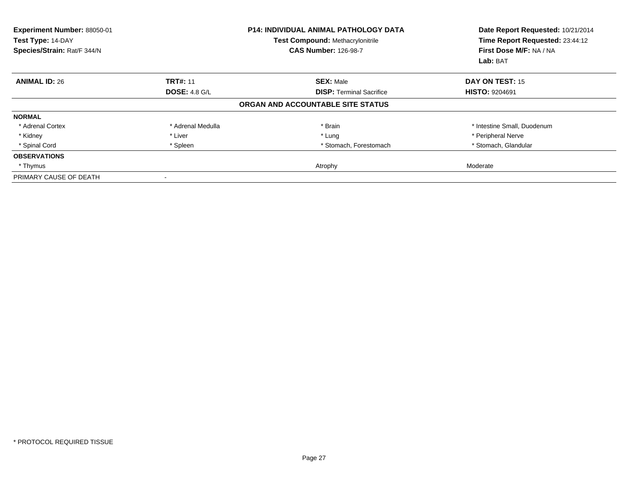| Experiment Number: 88050-01<br>Test Type: 14-DAY<br>Species/Strain: Rat/F 344/N |                      | <b>P14: INDIVIDUAL ANIMAL PATHOLOGY DATA</b><br><b>Test Compound: Methacrylonitrile</b><br><b>CAS Number: 126-98-7</b> | Date Report Requested: 10/21/2014<br>Time Report Requested: 23:44:12<br>First Dose M/F: NA / NA<br>Lab: BAT |
|---------------------------------------------------------------------------------|----------------------|------------------------------------------------------------------------------------------------------------------------|-------------------------------------------------------------------------------------------------------------|
| <b>ANIMAL ID: 26</b>                                                            | <b>TRT#: 11</b>      | <b>SEX: Male</b>                                                                                                       | DAY ON TEST: 15                                                                                             |
|                                                                                 | <b>DOSE: 4.8 G/L</b> | <b>DISP: Terminal Sacrifice</b>                                                                                        | <b>HISTO: 9204691</b>                                                                                       |
|                                                                                 |                      | ORGAN AND ACCOUNTABLE SITE STATUS                                                                                      |                                                                                                             |
| <b>NORMAL</b>                                                                   |                      |                                                                                                                        |                                                                                                             |
| * Adrenal Cortex                                                                | * Adrenal Medulla    | * Brain                                                                                                                | * Intestine Small, Duodenum                                                                                 |
| * Kidney                                                                        | * Liver              | * Lung                                                                                                                 | * Peripheral Nerve                                                                                          |
| * Spinal Cord                                                                   | * Spleen             | * Stomach, Forestomach                                                                                                 | * Stomach, Glandular                                                                                        |
| <b>OBSERVATIONS</b>                                                             |                      |                                                                                                                        |                                                                                                             |
| * Thymus                                                                        |                      | Atrophy                                                                                                                | Moderate                                                                                                    |
| PRIMARY CAUSE OF DEATH                                                          |                      |                                                                                                                        |                                                                                                             |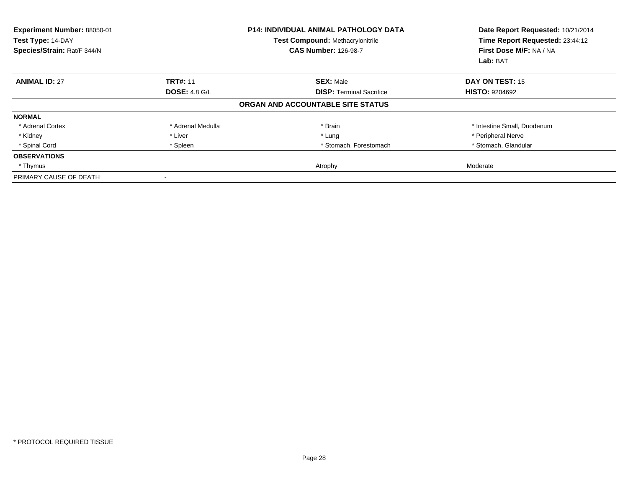| Experiment Number: 88050-01<br>Test Type: 14-DAY<br>Species/Strain: Rat/F 344/N |                      | <b>P14: INDIVIDUAL ANIMAL PATHOLOGY DATA</b><br><b>Test Compound: Methacrylonitrile</b><br><b>CAS Number: 126-98-7</b> | Date Report Requested: 10/21/2014<br>Time Report Requested: 23:44:12<br>First Dose M/F: NA / NA<br>Lab: BAT |
|---------------------------------------------------------------------------------|----------------------|------------------------------------------------------------------------------------------------------------------------|-------------------------------------------------------------------------------------------------------------|
| <b>ANIMAL ID: 27</b>                                                            | <b>TRT#: 11</b>      | <b>SEX: Male</b>                                                                                                       | DAY ON TEST: 15                                                                                             |
|                                                                                 | <b>DOSE: 4.8 G/L</b> | <b>DISP: Terminal Sacrifice</b>                                                                                        | <b>HISTO: 9204692</b>                                                                                       |
|                                                                                 |                      | ORGAN AND ACCOUNTABLE SITE STATUS                                                                                      |                                                                                                             |
| <b>NORMAL</b>                                                                   |                      |                                                                                                                        |                                                                                                             |
| * Adrenal Cortex                                                                | * Adrenal Medulla    | * Brain                                                                                                                | * Intestine Small, Duodenum                                                                                 |
| * Kidney                                                                        | * Liver              | * Lung                                                                                                                 | * Peripheral Nerve                                                                                          |
| * Spinal Cord                                                                   | * Spleen             | * Stomach, Forestomach                                                                                                 | * Stomach, Glandular                                                                                        |
| <b>OBSERVATIONS</b>                                                             |                      |                                                                                                                        |                                                                                                             |
| * Thymus                                                                        |                      | Atrophy                                                                                                                | Moderate                                                                                                    |
| PRIMARY CAUSE OF DEATH                                                          |                      |                                                                                                                        |                                                                                                             |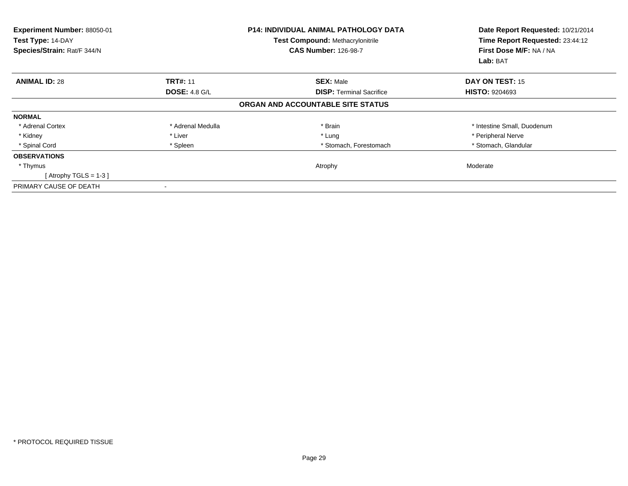| Experiment Number: 88050-01<br>Test Type: 14-DAY<br>Species/Strain: Rat/F 344/N |                      | P14: INDIVIDUAL ANIMAL PATHOLOGY DATA<br><b>Test Compound: Methacrylonitrile</b><br><b>CAS Number: 126-98-7</b> | Date Report Requested: 10/21/2014<br>Time Report Requested: 23:44:12<br>First Dose M/F: NA / NA<br>Lab: BAT |
|---------------------------------------------------------------------------------|----------------------|-----------------------------------------------------------------------------------------------------------------|-------------------------------------------------------------------------------------------------------------|
| <b>ANIMAL ID: 28</b>                                                            | <b>TRT#: 11</b>      | <b>SEX: Male</b>                                                                                                | <b>DAY ON TEST: 15</b>                                                                                      |
|                                                                                 | <b>DOSE: 4.8 G/L</b> | <b>DISP:</b> Terminal Sacrifice                                                                                 | <b>HISTO: 9204693</b>                                                                                       |
|                                                                                 |                      | ORGAN AND ACCOUNTABLE SITE STATUS                                                                               |                                                                                                             |
| <b>NORMAL</b>                                                                   |                      |                                                                                                                 |                                                                                                             |
| * Adrenal Cortex                                                                | * Adrenal Medulla    | * Brain                                                                                                         | * Intestine Small, Duodenum                                                                                 |
| * Kidney                                                                        | * Liver              | * Lung                                                                                                          | * Peripheral Nerve                                                                                          |
| * Spinal Cord                                                                   | * Spleen             | * Stomach, Forestomach                                                                                          | * Stomach, Glandular                                                                                        |
| <b>OBSERVATIONS</b>                                                             |                      |                                                                                                                 |                                                                                                             |
| * Thymus                                                                        |                      | Atrophy                                                                                                         | Moderate                                                                                                    |
| [Atrophy TGLS = $1-3$ ]                                                         |                      |                                                                                                                 |                                                                                                             |
| PRIMARY CAUSE OF DEATH                                                          |                      |                                                                                                                 |                                                                                                             |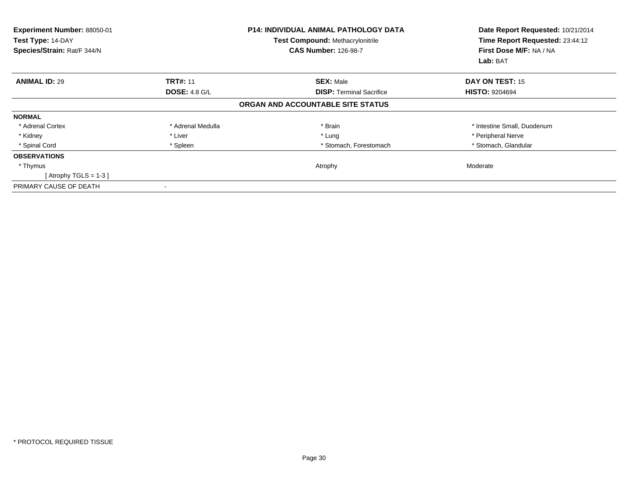| Experiment Number: 88050-01<br>Test Type: 14-DAY<br>Species/Strain: Rat/F 344/N |                      | <b>P14: INDIVIDUAL ANIMAL PATHOLOGY DATA</b><br><b>Test Compound: Methacrylonitrile</b><br><b>CAS Number: 126-98-7</b> | Date Report Requested: 10/21/2014<br>Time Report Requested: 23:44:12<br>First Dose M/F: NA / NA<br>Lab: BAT |
|---------------------------------------------------------------------------------|----------------------|------------------------------------------------------------------------------------------------------------------------|-------------------------------------------------------------------------------------------------------------|
| <b>ANIMAL ID: 29</b>                                                            | <b>TRT#: 11</b>      | <b>SEX: Male</b>                                                                                                       | <b>DAY ON TEST: 15</b>                                                                                      |
|                                                                                 | <b>DOSE: 4.8 G/L</b> | <b>DISP:</b> Terminal Sacrifice                                                                                        | <b>HISTO: 9204694</b>                                                                                       |
|                                                                                 |                      | ORGAN AND ACCOUNTABLE SITE STATUS                                                                                      |                                                                                                             |
| <b>NORMAL</b>                                                                   |                      |                                                                                                                        |                                                                                                             |
| * Adrenal Cortex                                                                | * Adrenal Medulla    | * Brain                                                                                                                | * Intestine Small, Duodenum                                                                                 |
| * Kidney                                                                        | * Liver              | * Lung                                                                                                                 | * Peripheral Nerve                                                                                          |
| * Spinal Cord                                                                   | * Spleen             | * Stomach, Forestomach                                                                                                 | * Stomach, Glandular                                                                                        |
| <b>OBSERVATIONS</b>                                                             |                      |                                                                                                                        |                                                                                                             |
| * Thymus                                                                        |                      | Atrophy                                                                                                                | Moderate                                                                                                    |
| [Atrophy TGLS = $1-3$ ]                                                         |                      |                                                                                                                        |                                                                                                             |
| PRIMARY CAUSE OF DEATH                                                          |                      |                                                                                                                        |                                                                                                             |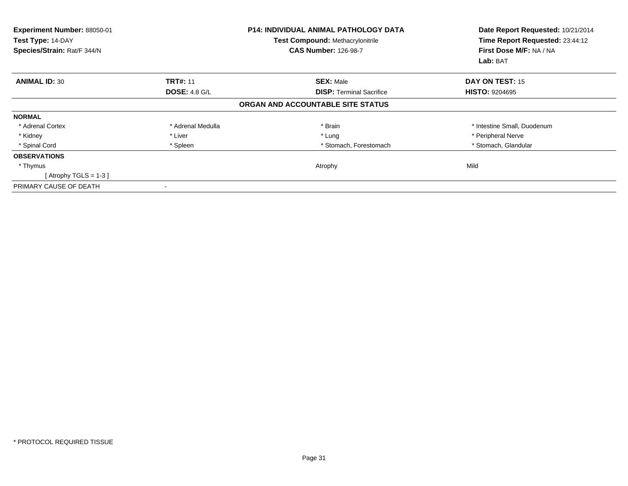| Experiment Number: 88050-01<br>Test Type: 14-DAY<br>Species/Strain: Rat/F 344/N |                      | <b>P14: INDIVIDUAL ANIMAL PATHOLOGY DATA</b><br><b>Test Compound: Methacrylonitrile</b><br><b>CAS Number: 126-98-7</b> | Date Report Requested: 10/21/2014<br>Time Report Requested: 23:44:12<br>First Dose M/F: NA / NA<br>Lab: BAT |
|---------------------------------------------------------------------------------|----------------------|------------------------------------------------------------------------------------------------------------------------|-------------------------------------------------------------------------------------------------------------|
| <b>ANIMAL ID: 30</b>                                                            | <b>TRT#: 11</b>      | <b>SEX: Male</b>                                                                                                       | <b>DAY ON TEST: 15</b>                                                                                      |
|                                                                                 | <b>DOSE: 4.8 G/L</b> | <b>DISP:</b> Terminal Sacrifice                                                                                        | <b>HISTO: 9204695</b>                                                                                       |
|                                                                                 |                      | ORGAN AND ACCOUNTABLE SITE STATUS                                                                                      |                                                                                                             |
| <b>NORMAL</b>                                                                   |                      |                                                                                                                        |                                                                                                             |
| * Adrenal Cortex                                                                | * Adrenal Medulla    | * Brain                                                                                                                | * Intestine Small, Duodenum                                                                                 |
| * Kidney                                                                        | * Liver              | * Lung                                                                                                                 | * Peripheral Nerve                                                                                          |
| * Spinal Cord                                                                   | * Spleen             | * Stomach, Forestomach                                                                                                 | * Stomach, Glandular                                                                                        |
| <b>OBSERVATIONS</b>                                                             |                      |                                                                                                                        |                                                                                                             |
| * Thymus                                                                        |                      | Atrophy                                                                                                                | Mild                                                                                                        |
| [Atrophy TGLS = $1-3$ ]                                                         |                      |                                                                                                                        |                                                                                                             |
| PRIMARY CAUSE OF DEATH                                                          |                      |                                                                                                                        |                                                                                                             |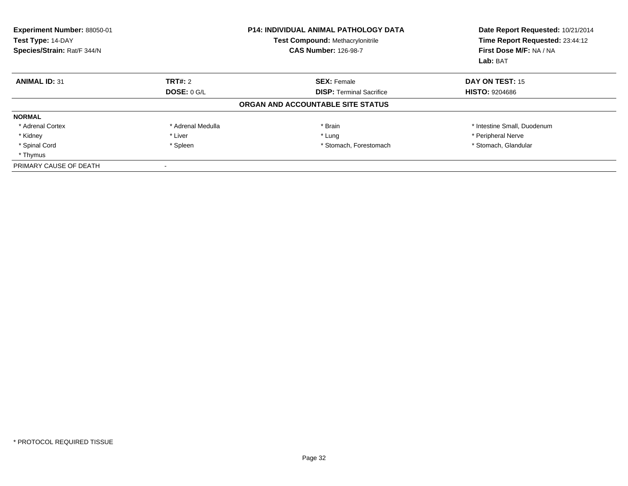| Experiment Number: 88050-01<br>Test Type: 14-DAY<br>Species/Strain: Rat/F 344/N |                    | <b>P14: INDIVIDUAL ANIMAL PATHOLOGY DATA</b><br><b>Test Compound: Methacrylonitrile</b><br><b>CAS Number: 126-98-7</b> | Date Report Requested: 10/21/2014<br>Time Report Requested: 23:44:12<br>First Dose M/F: NA / NA<br>Lab: BAT |
|---------------------------------------------------------------------------------|--------------------|------------------------------------------------------------------------------------------------------------------------|-------------------------------------------------------------------------------------------------------------|
| <b>ANIMAL ID: 31</b>                                                            | TRT#: 2            | <b>SEX: Female</b>                                                                                                     | DAY ON TEST: 15                                                                                             |
|                                                                                 | <b>DOSE: 0 G/L</b> | <b>DISP: Terminal Sacrifice</b>                                                                                        | <b>HISTO: 9204686</b>                                                                                       |
|                                                                                 |                    | ORGAN AND ACCOUNTABLE SITE STATUS                                                                                      |                                                                                                             |
| <b>NORMAL</b>                                                                   |                    |                                                                                                                        |                                                                                                             |
| * Adrenal Cortex                                                                | * Adrenal Medulla  | * Brain                                                                                                                | * Intestine Small, Duodenum                                                                                 |
| * Kidney                                                                        | * Liver            | * Lung                                                                                                                 | * Peripheral Nerve                                                                                          |
| * Spinal Cord                                                                   | * Spleen           | * Stomach, Forestomach                                                                                                 | * Stomach, Glandular                                                                                        |
| * Thymus                                                                        |                    |                                                                                                                        |                                                                                                             |
| PRIMARY CAUSE OF DEATH                                                          |                    |                                                                                                                        |                                                                                                             |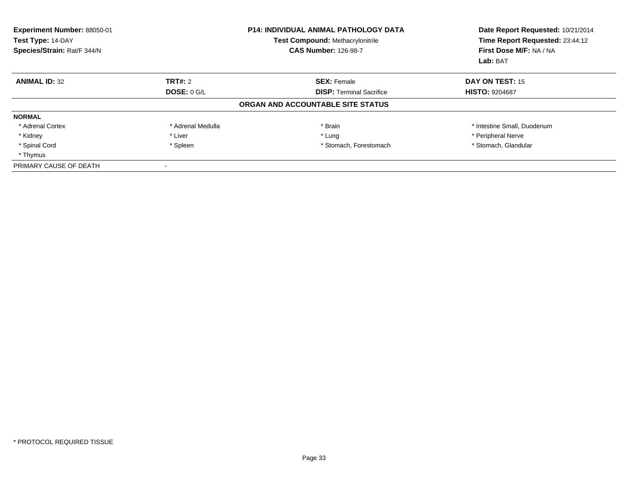| Experiment Number: 88050-01<br>Test Type: 14-DAY<br>Species/Strain: Rat/F 344/N |                    | <b>P14: INDIVIDUAL ANIMAL PATHOLOGY DATA</b><br>Test Compound: Methacrylonitrile<br><b>CAS Number: 126-98-7</b> | Date Report Requested: 10/21/2014<br>Time Report Requested: 23:44:12<br>First Dose M/F: NA / NA<br>Lab: BAT |
|---------------------------------------------------------------------------------|--------------------|-----------------------------------------------------------------------------------------------------------------|-------------------------------------------------------------------------------------------------------------|
| <b>ANIMAL ID: 32</b>                                                            | TRT#: 2            | <b>SEX: Female</b>                                                                                              | DAY ON TEST: 15                                                                                             |
|                                                                                 | <b>DOSE: 0 G/L</b> | <b>DISP: Terminal Sacrifice</b>                                                                                 | <b>HISTO: 9204687</b>                                                                                       |
|                                                                                 |                    | ORGAN AND ACCOUNTABLE SITE STATUS                                                                               |                                                                                                             |
| <b>NORMAL</b>                                                                   |                    |                                                                                                                 |                                                                                                             |
| * Adrenal Cortex                                                                | * Adrenal Medulla  | * Brain                                                                                                         | * Intestine Small, Duodenum                                                                                 |
| * Kidney                                                                        | * Liver            | * Lung                                                                                                          | * Peripheral Nerve                                                                                          |
| * Spinal Cord                                                                   | * Spleen           | * Stomach, Forestomach                                                                                          | * Stomach, Glandular                                                                                        |
| * Thymus                                                                        |                    |                                                                                                                 |                                                                                                             |
| PRIMARY CAUSE OF DEATH                                                          |                    |                                                                                                                 |                                                                                                             |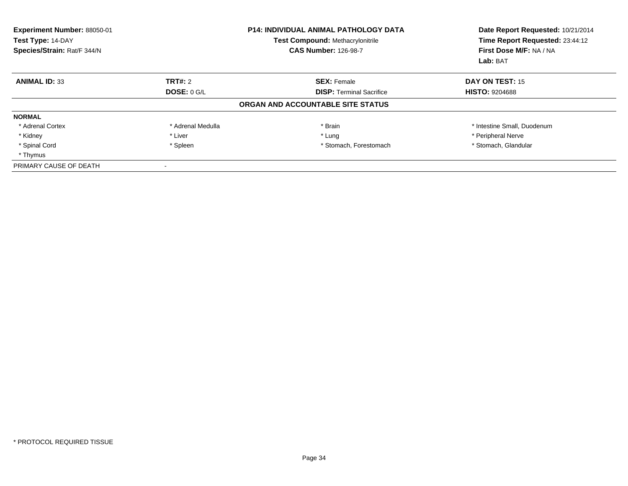| Experiment Number: 88050-01<br>Test Type: 14-DAY<br>Species/Strain: Rat/F 344/N |                   | <b>P14: INDIVIDUAL ANIMAL PATHOLOGY DATA</b><br><b>Test Compound: Methacrylonitrile</b><br><b>CAS Number: 126-98-7</b> | Date Report Requested: 10/21/2014<br>Time Report Requested: 23:44:12<br>First Dose M/F: NA / NA<br>Lab: BAT |
|---------------------------------------------------------------------------------|-------------------|------------------------------------------------------------------------------------------------------------------------|-------------------------------------------------------------------------------------------------------------|
| <b>ANIMAL ID: 33</b>                                                            | TRT#: 2           | <b>SEX: Female</b>                                                                                                     | DAY ON TEST: 15                                                                                             |
|                                                                                 | DOSE: $0$ G/L     | <b>DISP:</b> Terminal Sacrifice                                                                                        | <b>HISTO: 9204688</b>                                                                                       |
|                                                                                 |                   | ORGAN AND ACCOUNTABLE SITE STATUS                                                                                      |                                                                                                             |
| <b>NORMAL</b>                                                                   |                   |                                                                                                                        |                                                                                                             |
| * Adrenal Cortex                                                                | * Adrenal Medulla | * Brain                                                                                                                | * Intestine Small, Duodenum                                                                                 |
| * Kidney                                                                        | * Liver           | * Lung                                                                                                                 | * Peripheral Nerve                                                                                          |
| * Spinal Cord                                                                   | * Spleen          | * Stomach, Forestomach                                                                                                 | * Stomach, Glandular                                                                                        |
| * Thymus                                                                        |                   |                                                                                                                        |                                                                                                             |
| PRIMARY CAUSE OF DEATH                                                          |                   |                                                                                                                        |                                                                                                             |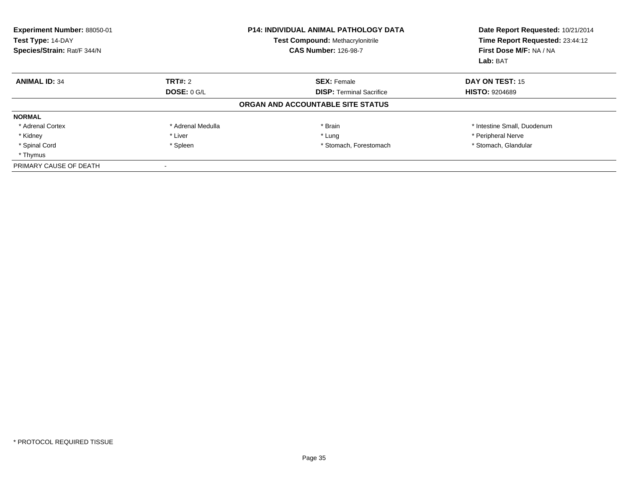| Experiment Number: 88050-01<br>Test Type: 14-DAY<br>Species/Strain: Rat/F 344/N |                    | <b>P14: INDIVIDUAL ANIMAL PATHOLOGY DATA</b><br><b>Test Compound: Methacrylonitrile</b><br><b>CAS Number: 126-98-7</b> | Date Report Requested: 10/21/2014<br>Time Report Requested: 23:44:12<br>First Dose M/F: NA / NA<br>Lab: BAT |
|---------------------------------------------------------------------------------|--------------------|------------------------------------------------------------------------------------------------------------------------|-------------------------------------------------------------------------------------------------------------|
| <b>ANIMAL ID: 34</b>                                                            | TRT#: 2            | <b>SEX: Female</b>                                                                                                     | DAY ON TEST: 15                                                                                             |
|                                                                                 | <b>DOSE: 0 G/L</b> | <b>DISP: Terminal Sacrifice</b>                                                                                        | <b>HISTO: 9204689</b>                                                                                       |
|                                                                                 |                    | ORGAN AND ACCOUNTABLE SITE STATUS                                                                                      |                                                                                                             |
| <b>NORMAL</b>                                                                   |                    |                                                                                                                        |                                                                                                             |
| * Adrenal Cortex                                                                | * Adrenal Medulla  | * Brain                                                                                                                | * Intestine Small, Duodenum                                                                                 |
| * Kidney                                                                        | * Liver            | * Lung                                                                                                                 | * Peripheral Nerve                                                                                          |
| * Spinal Cord                                                                   | * Spleen           | * Stomach, Forestomach                                                                                                 | * Stomach, Glandular                                                                                        |
| * Thymus                                                                        |                    |                                                                                                                        |                                                                                                             |
| PRIMARY CAUSE OF DEATH                                                          |                    |                                                                                                                        |                                                                                                             |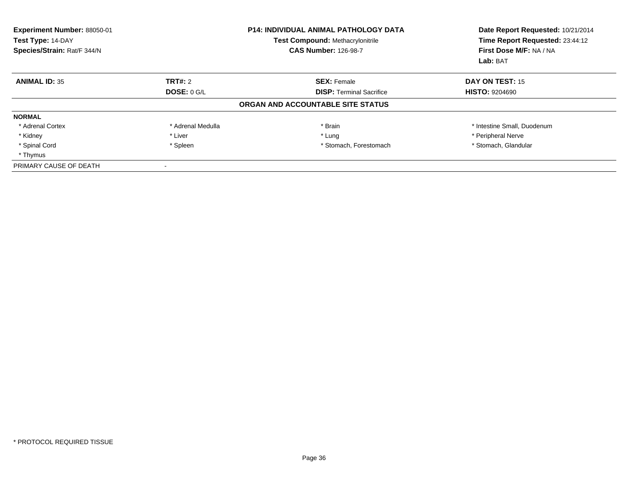| <b>Experiment Number: 88050-01</b><br>Test Type: 14-DAY<br>Species/Strain: Rat/F 344/N |                    | <b>P14: INDIVIDUAL ANIMAL PATHOLOGY DATA</b><br><b>Test Compound: Methacrylonitrile</b><br><b>CAS Number: 126-98-7</b> | Date Report Requested: 10/21/2014<br>Time Report Requested: 23:44:12<br>First Dose M/F: NA / NA<br>Lab: BAT |
|----------------------------------------------------------------------------------------|--------------------|------------------------------------------------------------------------------------------------------------------------|-------------------------------------------------------------------------------------------------------------|
| <b>ANIMAL ID: 35</b>                                                                   | TRT#: 2            | <b>SEX: Female</b>                                                                                                     | DAY ON TEST: 15                                                                                             |
|                                                                                        | <b>DOSE: 0 G/L</b> | <b>DISP: Terminal Sacrifice</b>                                                                                        | <b>HISTO: 9204690</b>                                                                                       |
|                                                                                        |                    | ORGAN AND ACCOUNTABLE SITE STATUS                                                                                      |                                                                                                             |
| <b>NORMAL</b>                                                                          |                    |                                                                                                                        |                                                                                                             |
| * Adrenal Cortex                                                                       | * Adrenal Medulla  | * Brain                                                                                                                | * Intestine Small, Duodenum                                                                                 |
| * Kidney                                                                               | * Liver            | * Lung                                                                                                                 | * Peripheral Nerve                                                                                          |
| * Spinal Cord                                                                          | * Spleen           | * Stomach, Forestomach                                                                                                 | * Stomach, Glandular                                                                                        |
| * Thymus                                                                               |                    |                                                                                                                        |                                                                                                             |
| PRIMARY CAUSE OF DEATH                                                                 |                    |                                                                                                                        |                                                                                                             |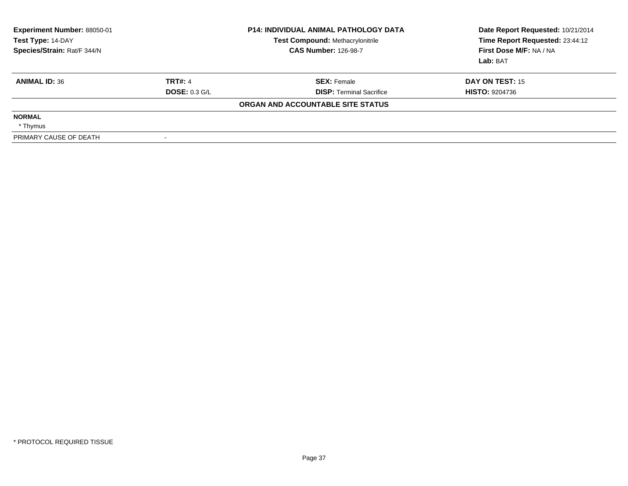| Experiment Number: 88050-01<br>Test Type: 14-DAY<br>Species/Strain: Rat/F 344/N |                      | <b>P14: INDIVIDUAL ANIMAL PATHOLOGY DATA</b><br><b>Test Compound: Methacrylonitrile</b><br><b>CAS Number: 126-98-7</b> | Date Report Requested: 10/21/2014<br>Time Report Requested: 23:44:12<br>First Dose M/F: NA / NA<br>Lab: BAT |
|---------------------------------------------------------------------------------|----------------------|------------------------------------------------------------------------------------------------------------------------|-------------------------------------------------------------------------------------------------------------|
| <b>ANIMAL ID: 36</b>                                                            | <b>TRT#: 4</b>       | <b>SEX: Female</b>                                                                                                     | DAY ON TEST: 15                                                                                             |
|                                                                                 | <b>DOSE: 0.3 G/L</b> | <b>DISP: Terminal Sacrifice</b>                                                                                        | <b>HISTO: 9204736</b>                                                                                       |
|                                                                                 |                      | ORGAN AND ACCOUNTABLE SITE STATUS                                                                                      |                                                                                                             |
| <b>NORMAL</b>                                                                   |                      |                                                                                                                        |                                                                                                             |
| * Thymus                                                                        |                      |                                                                                                                        |                                                                                                             |
| PRIMARY CAUSE OF DEATH                                                          |                      |                                                                                                                        |                                                                                                             |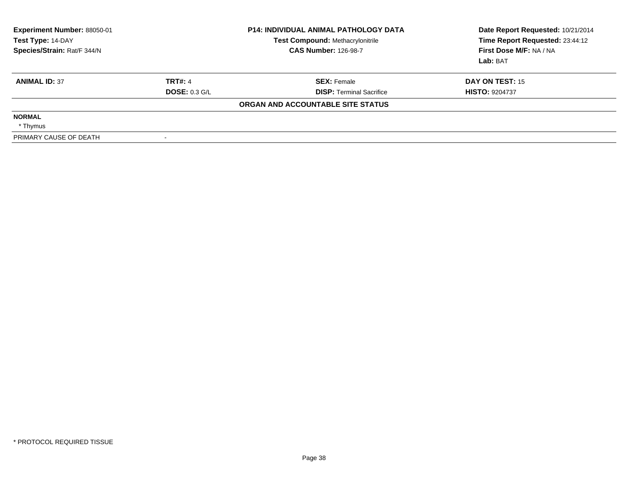| <b>Experiment Number: 88050-01</b><br>Test Type: 14-DAY<br>Species/Strain: Rat/F 344/N |                      | <b>P14: INDIVIDUAL ANIMAL PATHOLOGY DATA</b><br><b>Test Compound: Methacrylonitrile</b><br><b>CAS Number: 126-98-7</b> | Date Report Requested: 10/21/2014<br>Time Report Requested: 23:44:12<br>First Dose M/F: NA / NA<br>Lab: BAT |
|----------------------------------------------------------------------------------------|----------------------|------------------------------------------------------------------------------------------------------------------------|-------------------------------------------------------------------------------------------------------------|
| <b>ANIMAL ID: 37</b>                                                                   | <b>TRT#: 4</b>       | <b>SEX: Female</b>                                                                                                     | DAY ON TEST: 15                                                                                             |
|                                                                                        | <b>DOSE: 0.3 G/L</b> | <b>DISP: Terminal Sacrifice</b>                                                                                        | <b>HISTO: 9204737</b>                                                                                       |
|                                                                                        |                      | ORGAN AND ACCOUNTABLE SITE STATUS                                                                                      |                                                                                                             |
| <b>NORMAL</b>                                                                          |                      |                                                                                                                        |                                                                                                             |
| * Thymus                                                                               |                      |                                                                                                                        |                                                                                                             |
| PRIMARY CAUSE OF DEATH                                                                 | $\sim$               |                                                                                                                        |                                                                                                             |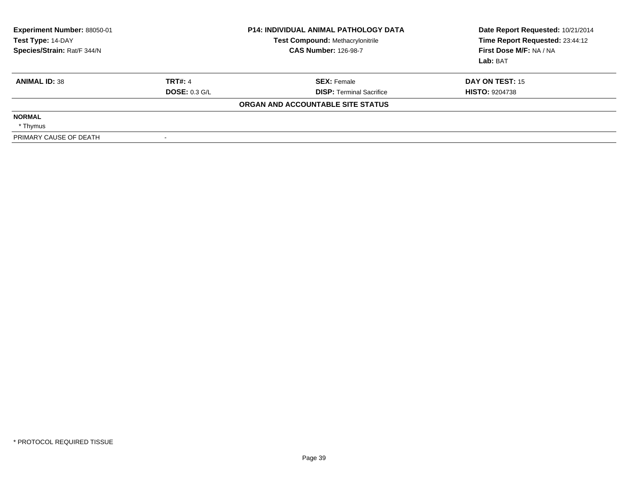| <b>Experiment Number: 88050-01</b><br>Test Type: 14-DAY<br>Species/Strain: Rat/F 344/N |                      | <b>P14: INDIVIDUAL ANIMAL PATHOLOGY DATA</b><br><b>Test Compound: Methacrylonitrile</b><br><b>CAS Number: 126-98-7</b> | Date Report Requested: 10/21/2014<br>Time Report Requested: 23:44:12<br>First Dose M/F: NA / NA<br>Lab: BAT |
|----------------------------------------------------------------------------------------|----------------------|------------------------------------------------------------------------------------------------------------------------|-------------------------------------------------------------------------------------------------------------|
| <b>ANIMAL ID: 38</b>                                                                   | <b>TRT#: 4</b>       | <b>SEX: Female</b>                                                                                                     | DAY ON TEST: 15                                                                                             |
|                                                                                        | <b>DOSE: 0.3 G/L</b> | <b>DISP:</b> Terminal Sacrifice                                                                                        | <b>HISTO: 9204738</b>                                                                                       |
|                                                                                        |                      | ORGAN AND ACCOUNTABLE SITE STATUS                                                                                      |                                                                                                             |
| <b>NORMAL</b>                                                                          |                      |                                                                                                                        |                                                                                                             |
| * Thymus                                                                               |                      |                                                                                                                        |                                                                                                             |
| PRIMARY CAUSE OF DEATH                                                                 |                      |                                                                                                                        |                                                                                                             |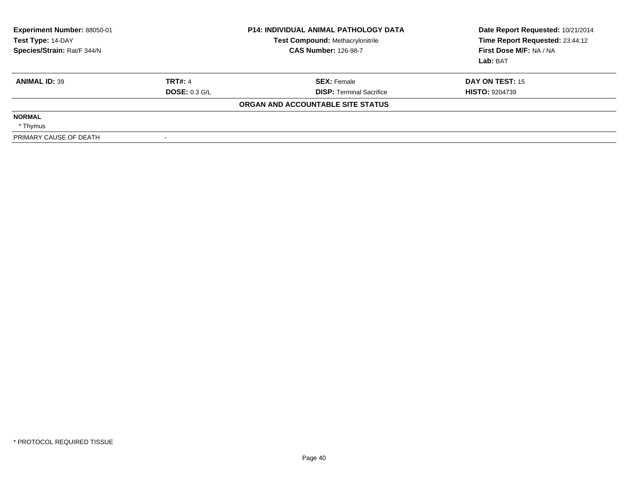| <b>Experiment Number: 88050-01</b><br>Test Type: 14-DAY<br>Species/Strain: Rat/F 344/N |                      | <b>P14: INDIVIDUAL ANIMAL PATHOLOGY DATA</b><br><b>Test Compound: Methacrylonitrile</b><br><b>CAS Number: 126-98-7</b> | Date Report Requested: 10/21/2014<br>Time Report Requested: 23:44:12<br>First Dose M/F: NA / NA<br>Lab: BAT |
|----------------------------------------------------------------------------------------|----------------------|------------------------------------------------------------------------------------------------------------------------|-------------------------------------------------------------------------------------------------------------|
| <b>ANIMAL ID: 39</b>                                                                   | <b>TRT#: 4</b>       | <b>SEX: Female</b>                                                                                                     | DAY ON TEST: 15                                                                                             |
|                                                                                        | <b>DOSE: 0.3 G/L</b> | <b>DISP:</b> Terminal Sacrifice                                                                                        | <b>HISTO: 9204739</b>                                                                                       |
|                                                                                        |                      | ORGAN AND ACCOUNTABLE SITE STATUS                                                                                      |                                                                                                             |
| <b>NORMAL</b>                                                                          |                      |                                                                                                                        |                                                                                                             |
| * Thymus                                                                               |                      |                                                                                                                        |                                                                                                             |
| PRIMARY CAUSE OF DEATH                                                                 |                      |                                                                                                                        |                                                                                                             |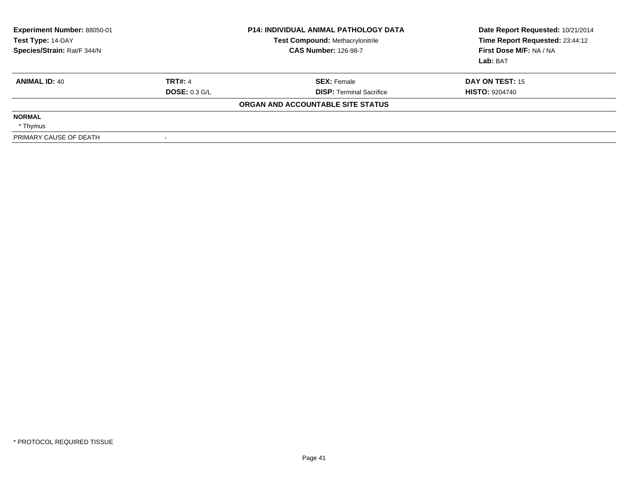| <b>Experiment Number: 88050-01</b><br>Test Type: 14-DAY<br>Species/Strain: Rat/F 344/N |                      | <b>P14: INDIVIDUAL ANIMAL PATHOLOGY DATA</b><br><b>Test Compound: Methacrylonitrile</b><br><b>CAS Number: 126-98-7</b> | Date Report Requested: 10/21/2014<br>Time Report Requested: 23:44:12<br>First Dose M/F: NA / NA<br>Lab: BAT |
|----------------------------------------------------------------------------------------|----------------------|------------------------------------------------------------------------------------------------------------------------|-------------------------------------------------------------------------------------------------------------|
| <b>ANIMAL ID: 40</b>                                                                   | <b>TRT#: 4</b>       | <b>SEX: Female</b>                                                                                                     | DAY ON TEST: 15                                                                                             |
|                                                                                        | <b>DOSE: 0.3 G/L</b> | <b>DISP:</b> Terminal Sacrifice                                                                                        | <b>HISTO: 9204740</b>                                                                                       |
|                                                                                        |                      | ORGAN AND ACCOUNTABLE SITE STATUS                                                                                      |                                                                                                             |
| <b>NORMAL</b>                                                                          |                      |                                                                                                                        |                                                                                                             |
| * Thymus                                                                               |                      |                                                                                                                        |                                                                                                             |
| PRIMARY CAUSE OF DEATH                                                                 |                      |                                                                                                                        |                                                                                                             |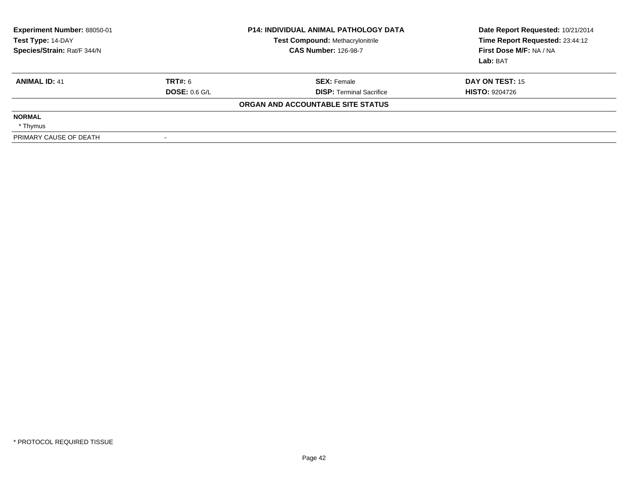| <b>Experiment Number: 88050-01</b><br>Test Type: 14-DAY<br>Species/Strain: Rat/F 344/N |                      | <b>P14: INDIVIDUAL ANIMAL PATHOLOGY DATA</b><br><b>Test Compound: Methacrylonitrile</b><br><b>CAS Number: 126-98-7</b> | Date Report Requested: 10/21/2014<br>Time Report Requested: 23:44:12<br>First Dose M/F: NA / NA<br>Lab: BAT |
|----------------------------------------------------------------------------------------|----------------------|------------------------------------------------------------------------------------------------------------------------|-------------------------------------------------------------------------------------------------------------|
| <b>ANIMAL ID: 41</b>                                                                   | TRT#: 6              | <b>SEX: Female</b>                                                                                                     | DAY ON TEST: 15                                                                                             |
|                                                                                        | <b>DOSE: 0.6 G/L</b> | <b>DISP:</b> Terminal Sacrifice                                                                                        | <b>HISTO: 9204726</b>                                                                                       |
|                                                                                        |                      | ORGAN AND ACCOUNTABLE SITE STATUS                                                                                      |                                                                                                             |
| <b>NORMAL</b>                                                                          |                      |                                                                                                                        |                                                                                                             |
| * Thymus                                                                               |                      |                                                                                                                        |                                                                                                             |
| PRIMARY CAUSE OF DEATH                                                                 |                      |                                                                                                                        |                                                                                                             |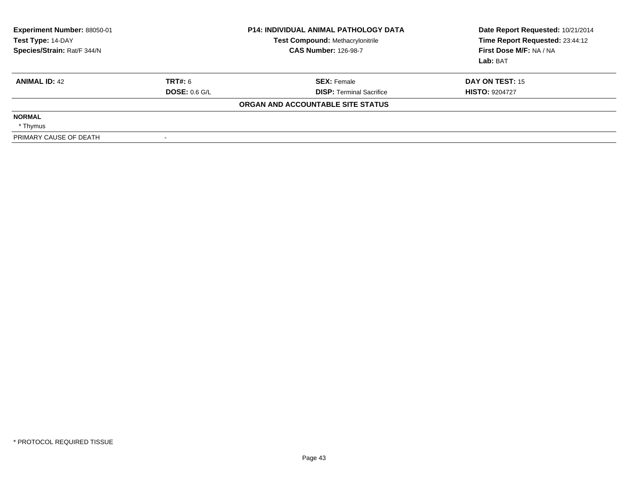| Experiment Number: 88050-01<br>Test Type: 14-DAY<br>Species/Strain: Rat/F 344/N |               | <b>P14: INDIVIDUAL ANIMAL PATHOLOGY DATA</b><br><b>Test Compound: Methacrylonitrile</b><br><b>CAS Number: 126-98-7</b> | Date Report Requested: 10/21/2014<br>Time Report Requested: 23:44:12<br>First Dose M/F: NA / NA<br>Lab: BAT |
|---------------------------------------------------------------------------------|---------------|------------------------------------------------------------------------------------------------------------------------|-------------------------------------------------------------------------------------------------------------|
| <b>ANIMAL ID: 42</b>                                                            | TRT#: 6       | <b>SEX: Female</b>                                                                                                     | <b>DAY ON TEST: 15</b>                                                                                      |
|                                                                                 | DOSE: 0.6 G/L | <b>DISP:</b> Terminal Sacrifice                                                                                        | <b>HISTO: 9204727</b>                                                                                       |
|                                                                                 |               | ORGAN AND ACCOUNTABLE SITE STATUS                                                                                      |                                                                                                             |
| <b>NORMAL</b>                                                                   |               |                                                                                                                        |                                                                                                             |
| * Thymus                                                                        |               |                                                                                                                        |                                                                                                             |
| PRIMARY CAUSE OF DEATH                                                          |               |                                                                                                                        |                                                                                                             |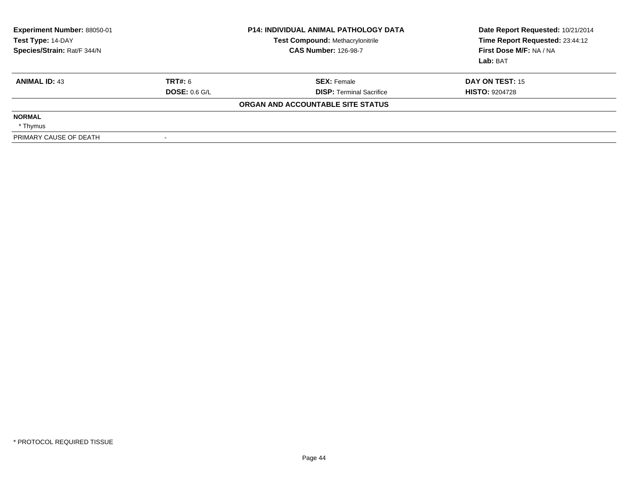| <b>Experiment Number: 88050-01</b><br>Test Type: 14-DAY<br>Species/Strain: Rat/F 344/N |                      | <b>P14: INDIVIDUAL ANIMAL PATHOLOGY DATA</b><br><b>Test Compound: Methacrylonitrile</b><br><b>CAS Number: 126-98-7</b> | Date Report Requested: 10/21/2014<br>Time Report Requested: 23:44:12<br>First Dose M/F: NA / NA<br>Lab: BAT |
|----------------------------------------------------------------------------------------|----------------------|------------------------------------------------------------------------------------------------------------------------|-------------------------------------------------------------------------------------------------------------|
| <b>ANIMAL ID: 43</b>                                                                   | TRT#: 6              | <b>SEX: Female</b>                                                                                                     | DAY ON TEST: 15                                                                                             |
|                                                                                        | <b>DOSE: 0.6 G/L</b> | <b>DISP:</b> Terminal Sacrifice                                                                                        | <b>HISTO: 9204728</b>                                                                                       |
|                                                                                        |                      | ORGAN AND ACCOUNTABLE SITE STATUS                                                                                      |                                                                                                             |
| <b>NORMAL</b>                                                                          |                      |                                                                                                                        |                                                                                                             |
| * Thymus                                                                               |                      |                                                                                                                        |                                                                                                             |
| PRIMARY CAUSE OF DEATH                                                                 |                      |                                                                                                                        |                                                                                                             |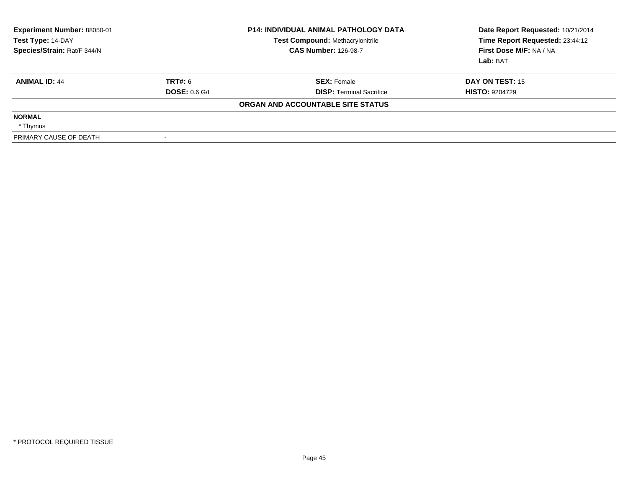| Experiment Number: 88050-01<br>Test Type: 14-DAY<br>Species/Strain: Rat/F 344/N |                      | <b>P14: INDIVIDUAL ANIMAL PATHOLOGY DATA</b><br><b>Test Compound: Methacrylonitrile</b><br><b>CAS Number: 126-98-7</b> | Date Report Requested: 10/21/2014<br>Time Report Requested: 23:44:12<br>First Dose M/F: NA / NA<br>Lab: BAT |
|---------------------------------------------------------------------------------|----------------------|------------------------------------------------------------------------------------------------------------------------|-------------------------------------------------------------------------------------------------------------|
| <b>ANIMAL ID: 44</b>                                                            | TRT#: 6              | <b>SEX: Female</b>                                                                                                     | DAY ON TEST: 15                                                                                             |
|                                                                                 | <b>DOSE: 0.6 G/L</b> | <b>DISP: Terminal Sacrifice</b>                                                                                        | <b>HISTO: 9204729</b>                                                                                       |
|                                                                                 |                      | ORGAN AND ACCOUNTABLE SITE STATUS                                                                                      |                                                                                                             |
| <b>NORMAL</b>                                                                   |                      |                                                                                                                        |                                                                                                             |
| * Thymus                                                                        |                      |                                                                                                                        |                                                                                                             |
| PRIMARY CAUSE OF DEATH                                                          |                      |                                                                                                                        |                                                                                                             |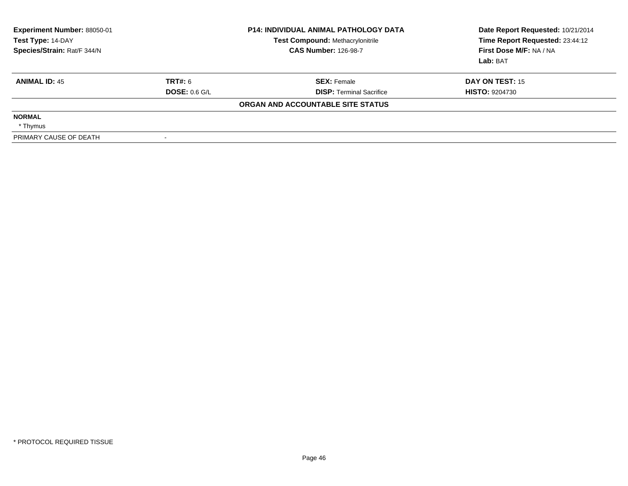| <b>Experiment Number: 88050-01</b><br>Test Type: 14-DAY<br>Species/Strain: Rat/F 344/N |                      | <b>P14: INDIVIDUAL ANIMAL PATHOLOGY DATA</b><br><b>Test Compound: Methacrylonitrile</b><br><b>CAS Number: 126-98-7</b> | Date Report Requested: 10/21/2014<br>Time Report Requested: 23:44:12<br>First Dose M/F: NA / NA<br>Lab: BAT |
|----------------------------------------------------------------------------------------|----------------------|------------------------------------------------------------------------------------------------------------------------|-------------------------------------------------------------------------------------------------------------|
| <b>ANIMAL ID: 45</b>                                                                   | TRT#: 6              | <b>SEX: Female</b>                                                                                                     | DAY ON TEST: 15                                                                                             |
|                                                                                        | <b>DOSE: 0.6 G/L</b> | <b>DISP:</b> Terminal Sacrifice                                                                                        | <b>HISTO: 9204730</b>                                                                                       |
|                                                                                        |                      | ORGAN AND ACCOUNTABLE SITE STATUS                                                                                      |                                                                                                             |
| <b>NORMAL</b>                                                                          |                      |                                                                                                                        |                                                                                                             |
| * Thymus                                                                               |                      |                                                                                                                        |                                                                                                             |
| PRIMARY CAUSE OF DEATH                                                                 |                      |                                                                                                                        |                                                                                                             |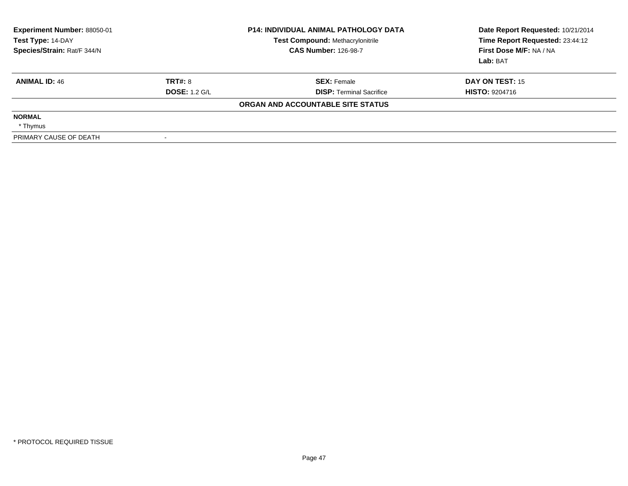| Experiment Number: 88050-01<br>Test Type: 14-DAY<br>Species/Strain: Rat/F 344/N |                      | <b>P14: INDIVIDUAL ANIMAL PATHOLOGY DATA</b><br><b>Test Compound: Methacrylonitrile</b><br><b>CAS Number: 126-98-7</b> | Date Report Requested: 10/21/2014<br>Time Report Requested: 23:44:12<br>First Dose M/F: NA / NA<br>Lab: BAT |
|---------------------------------------------------------------------------------|----------------------|------------------------------------------------------------------------------------------------------------------------|-------------------------------------------------------------------------------------------------------------|
| <b>ANIMAL ID: 46</b>                                                            | <b>TRT#: 8</b>       | <b>SEX: Female</b>                                                                                                     | DAY ON TEST: 15                                                                                             |
|                                                                                 | <b>DOSE: 1.2 G/L</b> | <b>DISP: Terminal Sacrifice</b>                                                                                        | <b>HISTO: 9204716</b>                                                                                       |
|                                                                                 |                      | ORGAN AND ACCOUNTABLE SITE STATUS                                                                                      |                                                                                                             |
| <b>NORMAL</b>                                                                   |                      |                                                                                                                        |                                                                                                             |
| * Thymus                                                                        |                      |                                                                                                                        |                                                                                                             |
| PRIMARY CAUSE OF DEATH                                                          |                      |                                                                                                                        |                                                                                                             |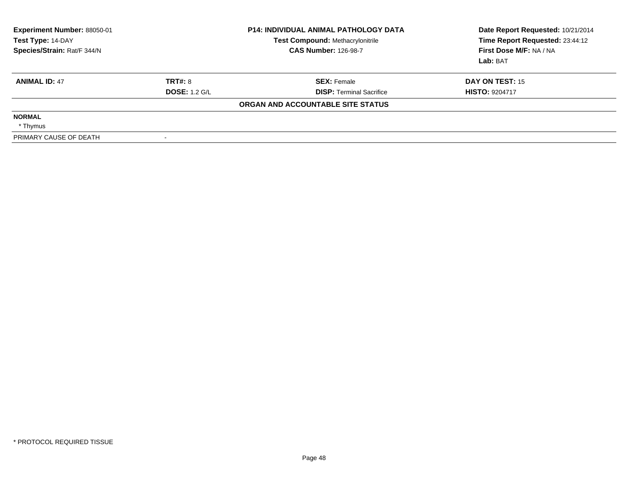| <b>Experiment Number: 88050-01</b><br>Test Type: 14-DAY<br>Species/Strain: Rat/F 344/N |                      | <b>P14: INDIVIDUAL ANIMAL PATHOLOGY DATA</b><br>Test Compound: Methacrylonitrile<br><b>CAS Number: 126-98-7</b> | Date Report Requested: 10/21/2014<br>Time Report Requested: 23:44:12<br>First Dose M/F: NA / NA<br>Lab: BAT |
|----------------------------------------------------------------------------------------|----------------------|-----------------------------------------------------------------------------------------------------------------|-------------------------------------------------------------------------------------------------------------|
| <b>ANIMAL ID: 47</b>                                                                   | TRT#: 8              | <b>SEX: Female</b>                                                                                              | DAY ON TEST: 15                                                                                             |
|                                                                                        | <b>DOSE: 1.2 G/L</b> | <b>DISP:</b> Terminal Sacrifice                                                                                 | <b>HISTO: 9204717</b>                                                                                       |
|                                                                                        |                      | ORGAN AND ACCOUNTABLE SITE STATUS                                                                               |                                                                                                             |
| <b>NORMAL</b>                                                                          |                      |                                                                                                                 |                                                                                                             |
| * Thymus                                                                               |                      |                                                                                                                 |                                                                                                             |
| PRIMARY CAUSE OF DEATH                                                                 |                      |                                                                                                                 |                                                                                                             |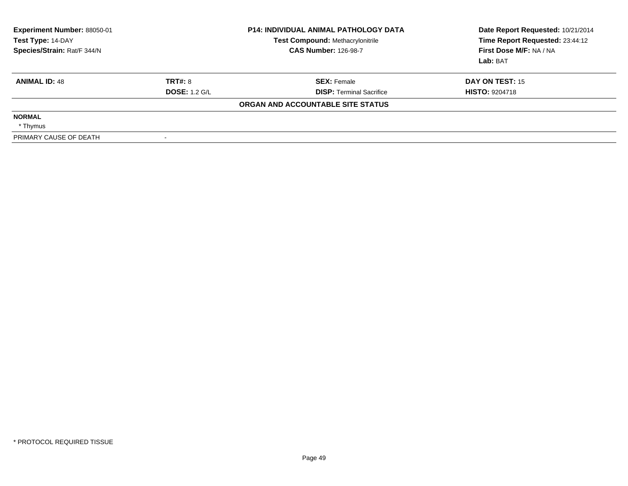| <b>Experiment Number: 88050-01</b><br>Test Type: 14-DAY<br>Species/Strain: Rat/F 344/N |                      | <b>P14: INDIVIDUAL ANIMAL PATHOLOGY DATA</b><br><b>Test Compound: Methacrylonitrile</b><br><b>CAS Number: 126-98-7</b> | Date Report Requested: 10/21/2014<br>Time Report Requested: 23:44:12<br>First Dose M/F: NA / NA<br>Lab: BAT |
|----------------------------------------------------------------------------------------|----------------------|------------------------------------------------------------------------------------------------------------------------|-------------------------------------------------------------------------------------------------------------|
| <b>ANIMAL ID: 48</b>                                                                   | <b>TRT#: 8</b>       | <b>SEX: Female</b>                                                                                                     | DAY ON TEST: 15                                                                                             |
|                                                                                        | <b>DOSE: 1.2 G/L</b> | <b>DISP:</b> Terminal Sacrifice                                                                                        | <b>HISTO: 9204718</b>                                                                                       |
|                                                                                        |                      | ORGAN AND ACCOUNTABLE SITE STATUS                                                                                      |                                                                                                             |
| <b>NORMAL</b>                                                                          |                      |                                                                                                                        |                                                                                                             |
| * Thymus                                                                               |                      |                                                                                                                        |                                                                                                             |
| PRIMARY CAUSE OF DEATH                                                                 |                      |                                                                                                                        |                                                                                                             |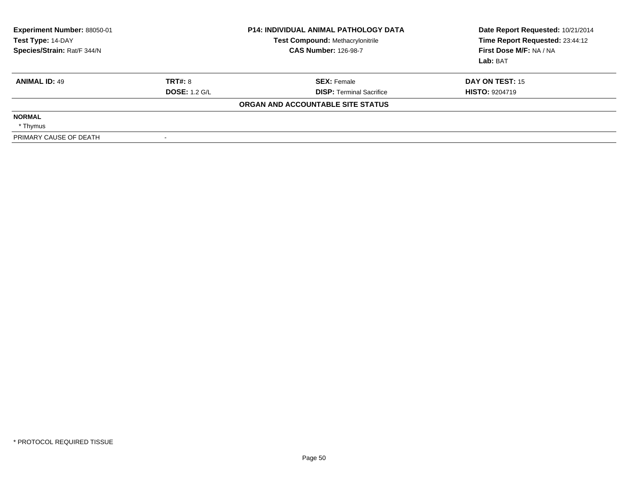| Experiment Number: 88050-01<br>Test Type: 14-DAY<br>Species/Strain: Rat/F 344/N |                      | <b>P14: INDIVIDUAL ANIMAL PATHOLOGY DATA</b><br><b>Test Compound: Methacrylonitrile</b><br><b>CAS Number: 126-98-7</b> | Date Report Requested: 10/21/2014<br>Time Report Requested: 23:44:12<br>First Dose M/F: NA / NA<br>Lab: BAT |
|---------------------------------------------------------------------------------|----------------------|------------------------------------------------------------------------------------------------------------------------|-------------------------------------------------------------------------------------------------------------|
| <b>ANIMAL ID: 49</b>                                                            | <b>TRT#: 8</b>       | <b>SEX: Female</b>                                                                                                     | DAY ON TEST: 15                                                                                             |
|                                                                                 | <b>DOSE: 1.2 G/L</b> | <b>DISP: Terminal Sacrifice</b>                                                                                        | <b>HISTO: 9204719</b>                                                                                       |
|                                                                                 |                      | ORGAN AND ACCOUNTABLE SITE STATUS                                                                                      |                                                                                                             |
| <b>NORMAL</b>                                                                   |                      |                                                                                                                        |                                                                                                             |
| * Thymus                                                                        |                      |                                                                                                                        |                                                                                                             |
| PRIMARY CAUSE OF DEATH                                                          |                      |                                                                                                                        |                                                                                                             |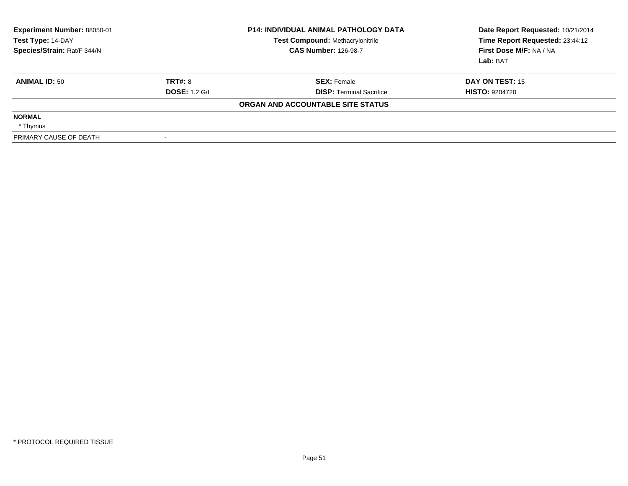| Experiment Number: 88050-01<br>Test Type: 14-DAY<br>Species/Strain: Rat/F 344/N |                      | <b>P14: INDIVIDUAL ANIMAL PATHOLOGY DATA</b><br><b>Test Compound: Methacrylonitrile</b><br><b>CAS Number: 126-98-7</b> | Date Report Requested: 10/21/2014<br>Time Report Requested: 23:44:12<br>First Dose M/F: NA / NA<br>Lab: BAT |
|---------------------------------------------------------------------------------|----------------------|------------------------------------------------------------------------------------------------------------------------|-------------------------------------------------------------------------------------------------------------|
| <b>ANIMAL ID: 50</b>                                                            | <b>TRT#: 8</b>       | <b>SEX: Female</b>                                                                                                     | DAY ON TEST: 15                                                                                             |
|                                                                                 | <b>DOSE: 1.2 G/L</b> | <b>DISP: Terminal Sacrifice</b>                                                                                        | <b>HISTO: 9204720</b>                                                                                       |
|                                                                                 |                      | ORGAN AND ACCOUNTABLE SITE STATUS                                                                                      |                                                                                                             |
| <b>NORMAL</b>                                                                   |                      |                                                                                                                        |                                                                                                             |
| * Thymus                                                                        |                      |                                                                                                                        |                                                                                                             |
| PRIMARY CAUSE OF DEATH                                                          |                      |                                                                                                                        |                                                                                                             |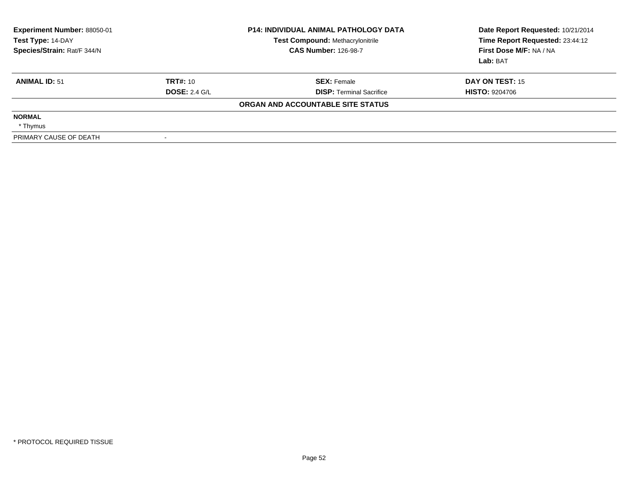| <b>Experiment Number: 88050-01</b><br>Test Type: 14-DAY<br>Species/Strain: Rat/F 344/N |                      | <b>P14: INDIVIDUAL ANIMAL PATHOLOGY DATA</b><br><b>Test Compound: Methacrylonitrile</b><br><b>CAS Number: 126-98-7</b> | Date Report Requested: 10/21/2014<br>Time Report Requested: 23:44:12<br>First Dose M/F: NA / NA<br>Lab: BAT |
|----------------------------------------------------------------------------------------|----------------------|------------------------------------------------------------------------------------------------------------------------|-------------------------------------------------------------------------------------------------------------|
| <b>ANIMAL ID: 51</b>                                                                   | TRT#: 10             | <b>SEX: Female</b>                                                                                                     | DAY ON TEST: 15                                                                                             |
|                                                                                        | <b>DOSE: 2.4 G/L</b> | <b>DISP:</b> Terminal Sacrifice                                                                                        | <b>HISTO: 9204706</b>                                                                                       |
|                                                                                        |                      | ORGAN AND ACCOUNTABLE SITE STATUS                                                                                      |                                                                                                             |
| <b>NORMAL</b>                                                                          |                      |                                                                                                                        |                                                                                                             |
| * Thymus                                                                               |                      |                                                                                                                        |                                                                                                             |
| PRIMARY CAUSE OF DEATH                                                                 |                      |                                                                                                                        |                                                                                                             |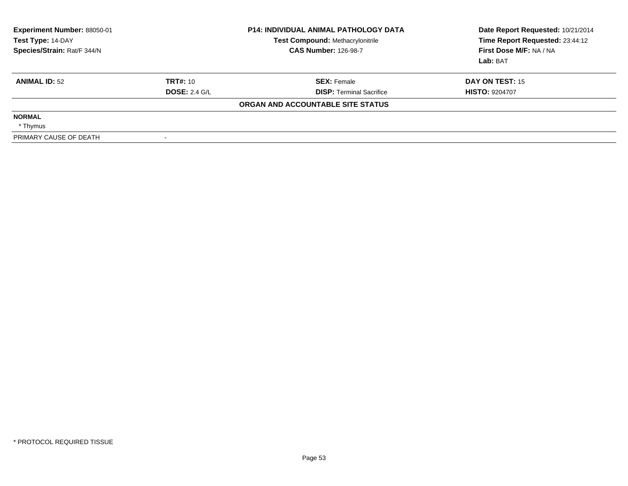| <b>Experiment Number: 88050-01</b><br>Test Type: 14-DAY<br>Species/Strain: Rat/F 344/N |                      | <b>P14: INDIVIDUAL ANIMAL PATHOLOGY DATA</b><br><b>Test Compound: Methacrylonitrile</b><br><b>CAS Number: 126-98-7</b> | Date Report Requested: 10/21/2014<br>Time Report Requested: 23:44:12<br>First Dose M/F: NA / NA<br>Lab: BAT |
|----------------------------------------------------------------------------------------|----------------------|------------------------------------------------------------------------------------------------------------------------|-------------------------------------------------------------------------------------------------------------|
| <b>ANIMAL ID: 52</b>                                                                   | <b>TRT#: 10</b>      | <b>SEX: Female</b>                                                                                                     | DAY ON TEST: 15                                                                                             |
|                                                                                        | <b>DOSE: 2.4 G/L</b> | <b>DISP:</b> Terminal Sacrifice                                                                                        | <b>HISTO: 9204707</b>                                                                                       |
|                                                                                        |                      | ORGAN AND ACCOUNTABLE SITE STATUS                                                                                      |                                                                                                             |
| <b>NORMAL</b>                                                                          |                      |                                                                                                                        |                                                                                                             |
| * Thymus                                                                               |                      |                                                                                                                        |                                                                                                             |
| PRIMARY CAUSE OF DEATH                                                                 |                      |                                                                                                                        |                                                                                                             |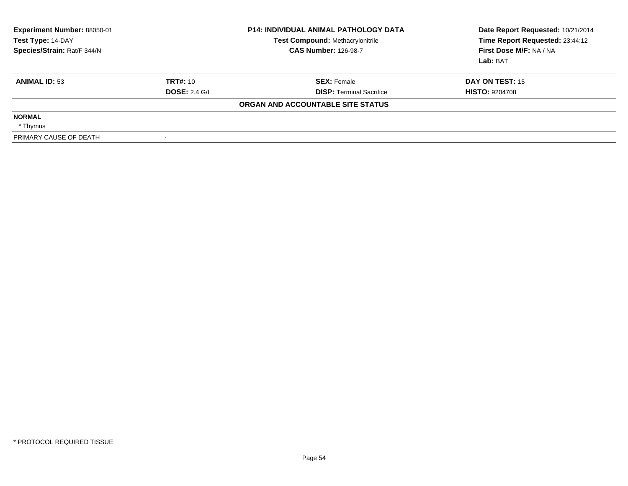| <b>Experiment Number: 88050-01</b><br>Test Type: 14-DAY<br>Species/Strain: Rat/F 344/N |                      | <b>P14: INDIVIDUAL ANIMAL PATHOLOGY DATA</b><br><b>Test Compound: Methacrylonitrile</b><br><b>CAS Number: 126-98-7</b> | Date Report Requested: 10/21/2014<br>Time Report Requested: 23:44:12<br>First Dose M/F: NA / NA<br>Lab: BAT |
|----------------------------------------------------------------------------------------|----------------------|------------------------------------------------------------------------------------------------------------------------|-------------------------------------------------------------------------------------------------------------|
| <b>ANIMAL ID: 53</b>                                                                   | TRT#: 10             | <b>SEX: Female</b>                                                                                                     | DAY ON TEST: 15                                                                                             |
|                                                                                        | <b>DOSE: 2.4 G/L</b> | <b>DISP:</b> Terminal Sacrifice                                                                                        | <b>HISTO: 9204708</b>                                                                                       |
|                                                                                        |                      | ORGAN AND ACCOUNTABLE SITE STATUS                                                                                      |                                                                                                             |
| <b>NORMAL</b>                                                                          |                      |                                                                                                                        |                                                                                                             |
| * Thymus                                                                               |                      |                                                                                                                        |                                                                                                             |
| PRIMARY CAUSE OF DEATH                                                                 |                      |                                                                                                                        |                                                                                                             |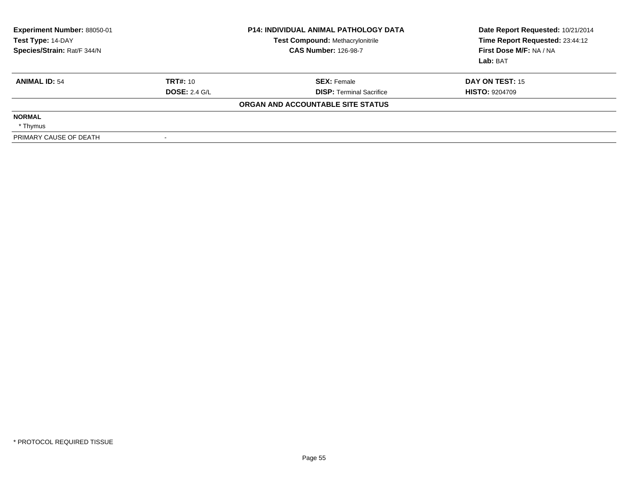| <b>Experiment Number: 88050-01</b><br>Test Type: 14-DAY<br>Species/Strain: Rat/F 344/N |                      | <b>P14: INDIVIDUAL ANIMAL PATHOLOGY DATA</b><br><b>Test Compound: Methacrylonitrile</b><br><b>CAS Number: 126-98-7</b> | Date Report Requested: 10/21/2014<br>Time Report Requested: 23:44:12<br>First Dose M/F: NA / NA<br>Lab: BAT |
|----------------------------------------------------------------------------------------|----------------------|------------------------------------------------------------------------------------------------------------------------|-------------------------------------------------------------------------------------------------------------|
| <b>ANIMAL ID: 54</b>                                                                   | TRT#: 10             | <b>SEX: Female</b>                                                                                                     | DAY ON TEST: 15                                                                                             |
|                                                                                        | <b>DOSE: 2.4 G/L</b> | <b>DISP:</b> Terminal Sacrifice                                                                                        | <b>HISTO: 9204709</b>                                                                                       |
|                                                                                        |                      | ORGAN AND ACCOUNTABLE SITE STATUS                                                                                      |                                                                                                             |
| <b>NORMAL</b>                                                                          |                      |                                                                                                                        |                                                                                                             |
| * Thymus                                                                               |                      |                                                                                                                        |                                                                                                             |
| PRIMARY CAUSE OF DEATH                                                                 |                      |                                                                                                                        |                                                                                                             |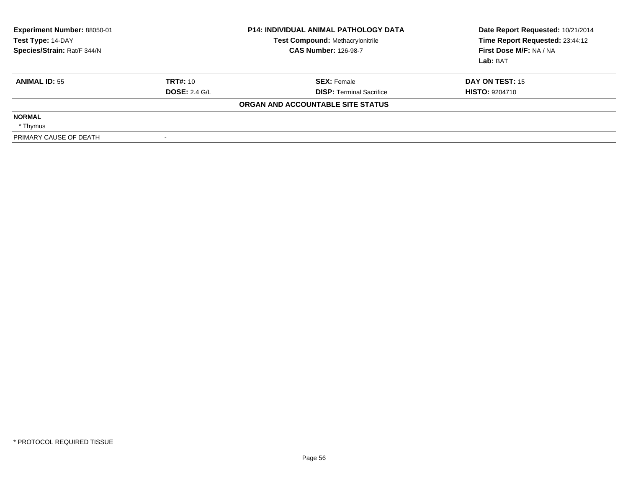| <b>Experiment Number: 88050-01</b><br>Test Type: 14-DAY<br>Species/Strain: Rat/F 344/N |                      | <b>P14: INDIVIDUAL ANIMAL PATHOLOGY DATA</b><br><b>Test Compound: Methacrylonitrile</b><br><b>CAS Number: 126-98-7</b> | Date Report Requested: 10/21/2014<br>Time Report Requested: 23:44:12<br>First Dose M/F: NA / NA<br>Lab: BAT |
|----------------------------------------------------------------------------------------|----------------------|------------------------------------------------------------------------------------------------------------------------|-------------------------------------------------------------------------------------------------------------|
| <b>ANIMAL ID: 55</b>                                                                   | TRT#: 10             | <b>SEX: Female</b>                                                                                                     | DAY ON TEST: 15                                                                                             |
|                                                                                        | <b>DOSE: 2.4 G/L</b> | <b>DISP:</b> Terminal Sacrifice                                                                                        | <b>HISTO: 9204710</b>                                                                                       |
|                                                                                        |                      | ORGAN AND ACCOUNTABLE SITE STATUS                                                                                      |                                                                                                             |
| <b>NORMAL</b>                                                                          |                      |                                                                                                                        |                                                                                                             |
| * Thymus                                                                               |                      |                                                                                                                        |                                                                                                             |
| PRIMARY CAUSE OF DEATH                                                                 |                      |                                                                                                                        |                                                                                                             |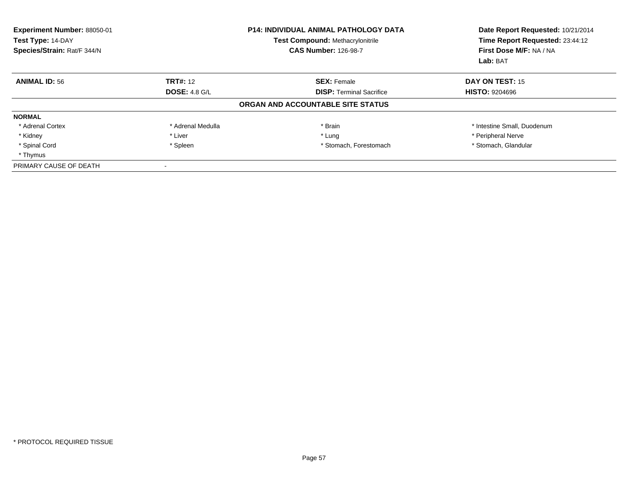| <b>Experiment Number: 88050-01</b><br>Test Type: 14-DAY<br>Species/Strain: Rat/F 344/N |                      | <b>P14: INDIVIDUAL ANIMAL PATHOLOGY DATA</b><br><b>Test Compound: Methacrylonitrile</b><br><b>CAS Number: 126-98-7</b> | Date Report Requested: 10/21/2014<br>Time Report Requested: 23:44:12<br>First Dose M/F: NA / NA<br>Lab: BAT |
|----------------------------------------------------------------------------------------|----------------------|------------------------------------------------------------------------------------------------------------------------|-------------------------------------------------------------------------------------------------------------|
| <b>ANIMAL ID: 56</b>                                                                   | <b>TRT#: 12</b>      | <b>SEX: Female</b>                                                                                                     | <b>DAY ON TEST: 15</b>                                                                                      |
|                                                                                        | <b>DOSE: 4.8 G/L</b> | <b>DISP: Terminal Sacrifice</b>                                                                                        | <b>HISTO: 9204696</b>                                                                                       |
|                                                                                        |                      | ORGAN AND ACCOUNTABLE SITE STATUS                                                                                      |                                                                                                             |
| <b>NORMAL</b>                                                                          |                      |                                                                                                                        |                                                                                                             |
| * Adrenal Cortex                                                                       | * Adrenal Medulla    | * Brain                                                                                                                | * Intestine Small, Duodenum                                                                                 |
| * Kidney                                                                               | * Liver              | * Lung                                                                                                                 | * Peripheral Nerve                                                                                          |
| * Spinal Cord                                                                          | * Spleen             | * Stomach, Forestomach                                                                                                 | * Stomach, Glandular                                                                                        |
| * Thymus                                                                               |                      |                                                                                                                        |                                                                                                             |
| PRIMARY CAUSE OF DEATH                                                                 |                      |                                                                                                                        |                                                                                                             |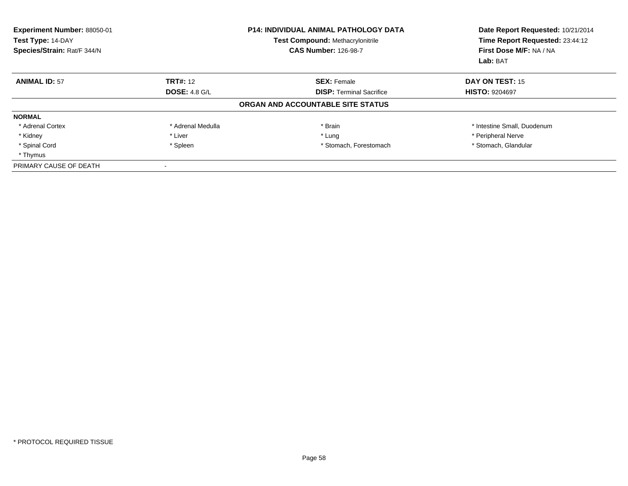| Experiment Number: 88050-01<br>Test Type: 14-DAY<br>Species/Strain: Rat/F 344/N |                      | <b>P14: INDIVIDUAL ANIMAL PATHOLOGY DATA</b><br><b>Test Compound: Methacrylonitrile</b><br><b>CAS Number: 126-98-7</b> | Date Report Requested: 10/21/2014<br>Time Report Requested: 23:44:12<br>First Dose M/F: NA / NA<br>Lab: BAT |
|---------------------------------------------------------------------------------|----------------------|------------------------------------------------------------------------------------------------------------------------|-------------------------------------------------------------------------------------------------------------|
| <b>ANIMAL ID: 57</b>                                                            | <b>TRT#: 12</b>      | <b>SEX: Female</b>                                                                                                     | DAY ON TEST: 15                                                                                             |
|                                                                                 | <b>DOSE: 4.8 G/L</b> | <b>DISP: Terminal Sacrifice</b>                                                                                        | <b>HISTO: 9204697</b>                                                                                       |
|                                                                                 |                      | ORGAN AND ACCOUNTABLE SITE STATUS                                                                                      |                                                                                                             |
| <b>NORMAL</b>                                                                   |                      |                                                                                                                        |                                                                                                             |
| * Adrenal Cortex                                                                | * Adrenal Medulla    | * Brain                                                                                                                | * Intestine Small, Duodenum                                                                                 |
| * Kidney                                                                        | * Liver              | * Lung                                                                                                                 | * Peripheral Nerve                                                                                          |
| * Spinal Cord                                                                   | * Spleen             | * Stomach, Forestomach                                                                                                 | * Stomach, Glandular                                                                                        |
| * Thymus                                                                        |                      |                                                                                                                        |                                                                                                             |
| PRIMARY CAUSE OF DEATH                                                          |                      |                                                                                                                        |                                                                                                             |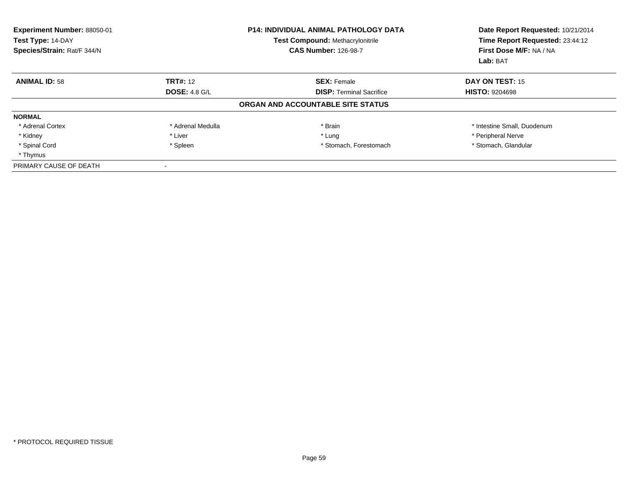| Experiment Number: 88050-01<br>Test Type: 14-DAY<br>Species/Strain: Rat/F 344/N |                      | P14: INDIVIDUAL ANIMAL PATHOLOGY DATA<br><b>Test Compound: Methacrylonitrile</b><br><b>CAS Number: 126-98-7</b> | Date Report Requested: 10/21/2014<br>Time Report Requested: 23:44:12<br>First Dose M/F: NA / NA<br>Lab: BAT |
|---------------------------------------------------------------------------------|----------------------|-----------------------------------------------------------------------------------------------------------------|-------------------------------------------------------------------------------------------------------------|
| <b>ANIMAL ID: 58</b>                                                            | <b>TRT#: 12</b>      | <b>SEX: Female</b>                                                                                              | DAY ON TEST: 15                                                                                             |
|                                                                                 | <b>DOSE: 4.8 G/L</b> | <b>DISP:</b> Terminal Sacrifice                                                                                 | <b>HISTO: 9204698</b>                                                                                       |
|                                                                                 |                      | ORGAN AND ACCOUNTABLE SITE STATUS                                                                               |                                                                                                             |
| <b>NORMAL</b>                                                                   |                      |                                                                                                                 |                                                                                                             |
| * Adrenal Cortex                                                                | * Adrenal Medulla    | * Brain                                                                                                         | * Intestine Small, Duodenum                                                                                 |
| * Kidney                                                                        | * Liver              | * Lung                                                                                                          | * Peripheral Nerve                                                                                          |
| * Spinal Cord                                                                   | * Spleen             | * Stomach, Forestomach                                                                                          | * Stomach, Glandular                                                                                        |
| * Thymus                                                                        |                      |                                                                                                                 |                                                                                                             |
| PRIMARY CAUSE OF DEATH                                                          |                      |                                                                                                                 |                                                                                                             |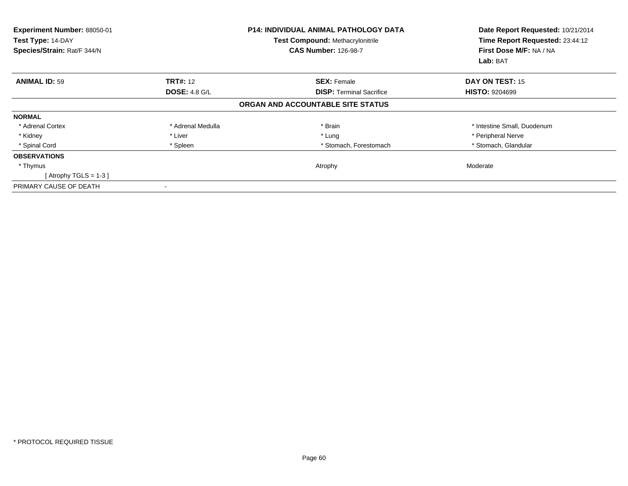| Experiment Number: 88050-01<br>Test Type: 14-DAY<br>Species/Strain: Rat/F 344/N |                      | P14: INDIVIDUAL ANIMAL PATHOLOGY DATA<br><b>Test Compound: Methacrylonitrile</b><br><b>CAS Number: 126-98-7</b> | Date Report Requested: 10/21/2014<br>Time Report Requested: 23:44:12<br>First Dose M/F: NA / NA<br>Lab: BAT |
|---------------------------------------------------------------------------------|----------------------|-----------------------------------------------------------------------------------------------------------------|-------------------------------------------------------------------------------------------------------------|
| <b>ANIMAL ID: 59</b>                                                            | <b>TRT#: 12</b>      | <b>SEX: Female</b>                                                                                              | <b>DAY ON TEST: 15</b>                                                                                      |
|                                                                                 | <b>DOSE: 4.8 G/L</b> | <b>DISP:</b> Terminal Sacrifice                                                                                 | <b>HISTO: 9204699</b>                                                                                       |
|                                                                                 |                      | ORGAN AND ACCOUNTABLE SITE STATUS                                                                               |                                                                                                             |
| <b>NORMAL</b>                                                                   |                      |                                                                                                                 |                                                                                                             |
| * Adrenal Cortex                                                                | * Adrenal Medulla    | * Brain                                                                                                         | * Intestine Small, Duodenum                                                                                 |
| * Kidney                                                                        | * Liver              | * Lung                                                                                                          | * Peripheral Nerve                                                                                          |
| * Spinal Cord                                                                   | * Spleen             | * Stomach, Forestomach                                                                                          | * Stomach, Glandular                                                                                        |
| <b>OBSERVATIONS</b>                                                             |                      |                                                                                                                 |                                                                                                             |
| * Thymus                                                                        |                      | Atrophy                                                                                                         | Moderate                                                                                                    |
| [Atrophy TGLS = $1-3$ ]                                                         |                      |                                                                                                                 |                                                                                                             |
| PRIMARY CAUSE OF DEATH                                                          |                      |                                                                                                                 |                                                                                                             |